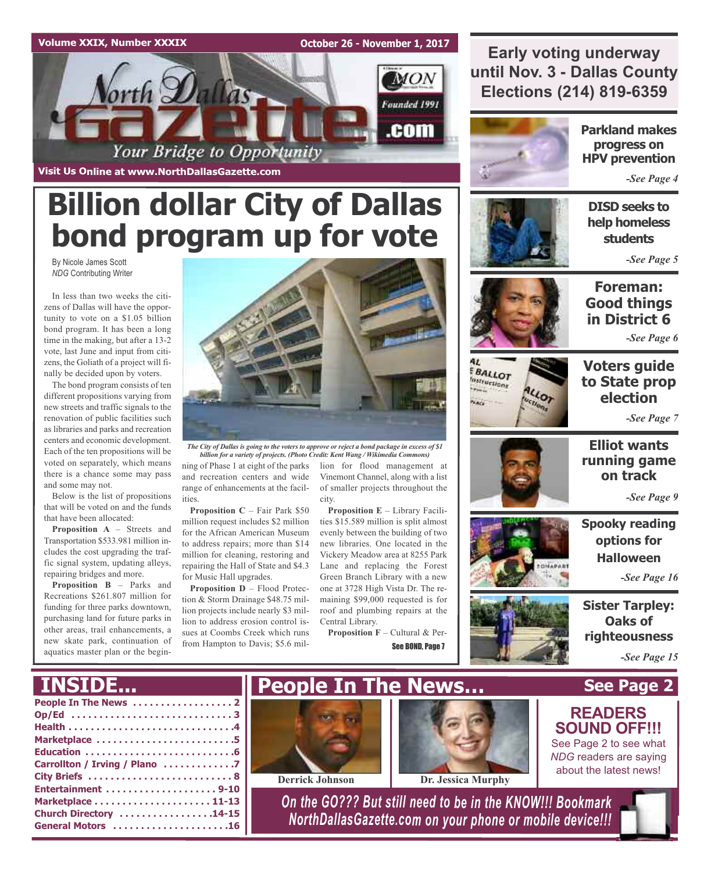### **Volume XXIX, Number XXXIX**

**October 26 - November 1, 2017**



**Visit Us Online at www.NorthDallasGazette.com**

# **Billion dollar City of Dallas bond program up for vote**

By Nicole James Scott *NDG* Contributing Writer

In less than two weeks the citizens of Dallas will have the opportunity to vote on a \$1.05 billion bond program. It has been a long time in the making, but after a 13-2 vote, last June and input from citizens, the Goliath of a project will finally be decided upon by voters.

The bond program consists of ten different propositions varying from new streets and traffic signals to the renovation of public facilities such as libraries and parks and recreation centers and economic development. Each of the ten propositions will be voted on separately, which means there is a chance some may pass and some may not.

Below is the list of propositions that will be voted on and the funds that have been allocated:

**Proposition A** – Streets and Transportation \$533.981 million includes the cost upgrading the traffic signal system, updating alleys, repairing bridges and more.

**Proposition B** – Parks and Recreations \$261.807 million for funding for three parks downtown, purchasing land for future parks in other areas, trail enhancements, a new skate park, continuation of aquatics master plan or the begin-



The City of Dallas is going to the voters to approve or reject a bond package in excess of  $\$1$ *billion for a variety of projects. (Photo Credit: Kent Wang / Wikimedia Commons)*

ning of Phase 1 at eight of the parks and recreation centers and wide range of enhancements at the facilities.

**Proposition C** – Fair Park \$50 million request includes \$2 million for the African American Museum to address repairs; more than \$14 million for cleaning, restoring and repairing the Hall of State and \$4.3 for Music Hall upgrades.

**Proposition D** – Flood Protection & Storm Drainage \$48.75 million projects include nearly \$3 million to address erosion control issues at Coombs Creek which runs from Hampton to Davis; \$5.6 million for flood management at Vinemont Channel, along with a list of smaller projects throughout the city.

**Proposition E** – Library Facilities \$15.589 million is split almost evenly between the building of two new libraries. One located in the Vickery Meadow area at 8255 Park Lane and replacing the Forest Green Branch Library with a new one at 3728 High Vista Dr. The remaining \$99,000 requested is for roof and plumbing repairs at the Central Library.

**Proposition F** – Cultural & Per-See BOND, Page 7



**Early voting underway**

**until Nov. 3 - Dallas County**

**Parkland makes progress on HPV prevention**

*-See Page 4*



**DISD seeks to help homeless students**

*-See Page 5*



BALLOT **Instructions** 

**Karl** 







**Elliot wants running game on track**

*-See Page 9*

**Spooky reading options for Halloween**

*-See Page 16*

**Sister Tarpley: Oaks of righteousness**

**See Page 2**

*-See Page 15*

# **INSIDE...**

| Marketplace 5                 |
|-------------------------------|
|                               |
| Carrollton / Irving / Plano 7 |
|                               |
| Entertainment 9-10            |
|                               |
| Church Directory 14-15        |
| General Motors 16             |





**Derrick Johnson Dr. Jessica Murphy**

*On the GO??? But still need to be in the KNOW!!! Bookmark NorthDallasGazette.com on your phone or mobile device!!!*



*NDG* readers are saying about the latest news!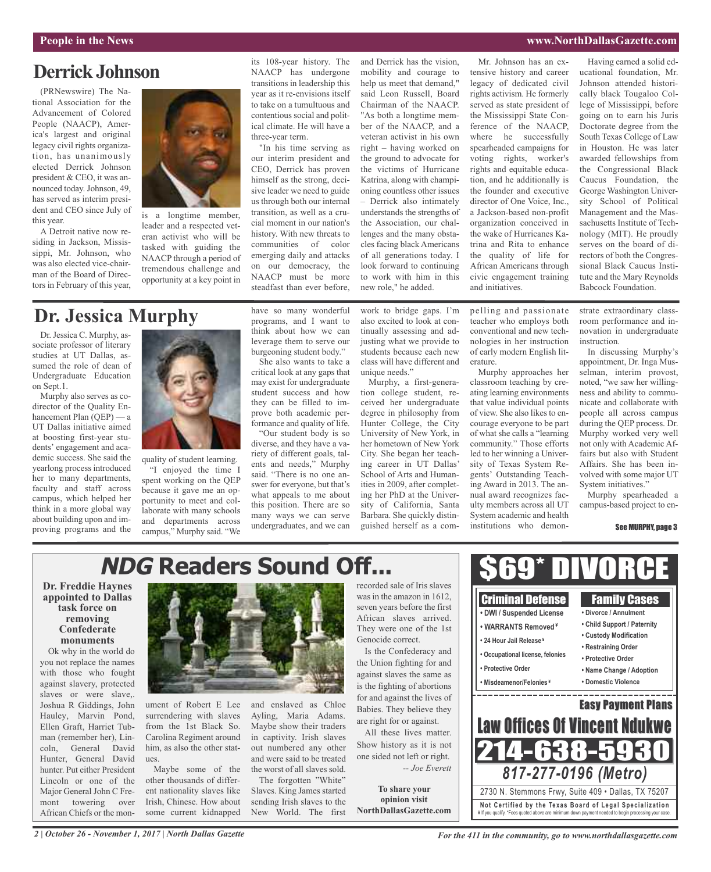### **People in the News www.NorthDallasGazette.com**

## **Derrick Johnson**

(PRNewswire) The National Association for the Advancement of Colored People (NAACP), America's largest and original legacy civil rights organization, has unanimously elected Derrick Johnson president & CEO, it was announced today. Johnson, 49, has served as interim president and CEO since July of this year.

A Detroit native now residing in Jackson, Mississippi, Mr. Johnson, who was also elected vice-chairman of the Board of Directors in February of this year,



is a longtime member, leader and a respected veteran activist who will be tasked with guiding the NAACP through a period of tremendous challenge and opportunity at a key point in

its 108-year history. The NAACP has undergone transitions in leadership this year as it re-envisions itself to take on a tumultuous and contentious social and political climate. He will have a three-year term.

"In his time serving as our interim president and CEO, Derrick has proven himself as the strong, decisive leader we need to guide us through both our internal transition, as well as a crucial moment in our nation's history. With new threats to communities of color emerging daily and attacks on our democracy, the NAACP must be more steadfast than ever before,

mobility and courage to help us meet that demand," said Leon Russell, Board Chairman of the NAACP. "As both a longtime member of the NAACP, and a veteran activist in his own right – having worked on the ground to advocate for the victims of Hurricane Katrina, along with championing countless other issues – Derrick also intimately understands the strengths of the Association, our challenges and the many obstacles facing black Americans of all generations today. I look forward to continuing to work with him in this new role," he added.

and Derrick has the vision,

Mr. Johnson has an extensive history and career legacy of dedicated civil rights activism. He formerly served as state president of the Mississippi State Conference of the NAACP, where he successfully spearheaded campaigns for voting rights, worker's rights and equitable education, and he additionally is the founder and executive director of One Voice, Inc., a Jackson-based non-profit organization conceived in the wake of Hurricanes Katrina and Rita to enhance the quality of life for African Americans through civic engagement training and initiatives.

Having earned a solid educational foundation, Mr. Johnson attended historically black Tougaloo College of Mississippi, before going on to earn his Juris Doctorate degree from the South Texas College of Law in Houston. He was later awarded fellowships from the Congressional Black Caucus Foundation, the George Washington University School of Political Management and the Massachusetts Institute of Technology (MIT). He proudly serves on the board of directors of both the Congressional Black Caucus Institute and the Mary Reynolds Babcock Foundation.

# **Dr. Jessica Murphy**

Dr. Jessica C. Murphy, associate professor of literary studies at UT Dallas, assumed the role of dean of Undergraduate Education on Sept.1.

Murphy also serves as codirector of the Quality Enhancement Plan (OEP) — a UT Dallas initiative aimed at boosting first-year students' engagement and academic success. She said the yearlong process introduced her to many departments, faculty and staff across campus, which helped her think in a more global way about building upon and improving programs and the



quality of student learning. "I enjoyed the time I spent working on the QEP because it gave me an opportunity to meet and collaborate with many schools and departments across campus," Murphy said. "We have so many wonderful programs, and I want to think about how we can leverage them to serve our burgeoning student body."

She also wants to take a critical look at any gaps that may exist for undergraduate student success and how they can be filled to improve both academic performance and quality of life.

"Our student body is so diverse, and they have a variety of different goals, talents and needs," Murphy said. "There is no one answer for everyone, but that's what appeals to me about this position. There are so many ways we can serve undergraduates, and we can

and enslaved as Chloe Ayling, Maria Adams. Maybe show their traders in captivity. Irish slaves out numbered any other and were said to be treated the worst of all slaves sold. The forgotten "White" Slaves. King James started sending Irish slaves to the New World. The first

work to bridge gaps. I'm also excited to look at continually assessing and adjusting what we provide to students because each new class will have different and unique needs."

Murphy, a first-generation college student, received her undergraduate degree in philosophy from Hunter College, the City University of New York, in her hometown of New York City. She began her teaching career in UT Dallas' School of Arts and Humanities in 2009, after completing her PhD at the University of California, Santa Barbara. She quickly distinguished herself as a compelling and passionate teacher who employs both conventional and new technologies in her instruction of early modern English literature.

Murphy approaches her classroom teaching by creating learning environments that value individual points of view. She also likes to encourage everyone to be part of what she calls a "learning community." Those efforts led to her winning a University of Texas System Regents' Outstanding Teaching Award in 2013. The annual award recognizes faculty members across all UT System academic and health institutions who demonstrate extraordinary classroom performance and innovation in undergraduate instruction.

In discussing Murphy's appointment, Dr. Inga Musselman, interim provost, noted, "we saw her willingness and ability to communicate and collaborate with people all across campus during the QEP process. Dr. Murphy worked very well not only with Academic Affairs but also with Student Affairs. She has been involved with some major UT System initiatives."

Murphy spearheaded a campus-based project to en-

### See MURPHY, page 3

# **NDG Readers Sound Off...**

**Dr. Freddie Haynes appointed to Dallas task force on removing Confederate monuments**

Ok why in the world do you not replace the names with those who fought against slavery, protected slaves or were slave,. Joshua R Giddings, John Hauley, Marvin Pond, Ellen Graft, Harriet Tubman (remember her), Lincoln, General David Hunter, General David hunter. Put either President Lincoln or one of the Major General John C Fremont towering over African Chiefs or the mon-



ument of Robert E Lee surrendering with slaves from the 1st Black So. Carolina Regiment around him, as also the other statues.

Maybe some of the other thousands of different nationality slaves like Irish, Chinese. How about some current kidnapped was in the amazon in 1612, seven years before the first African slaves arrived. They were one of the 1st Genocide correct. Is the Confederacy and the Union fighting for and

against slaves the same as is the fighting of abortions for and against the lives of Babies. They believe they are right for or against.

All these lives matter. Show history as it is not one sided not left or right. *-- Joe Everett*

**To share your opinion visit NorthDallasGazette.com**



*2 | October 26 - November 1, 2017 | North Dallas Gazette*

*For the 411 in the community, go to www.northdallasgazette.com*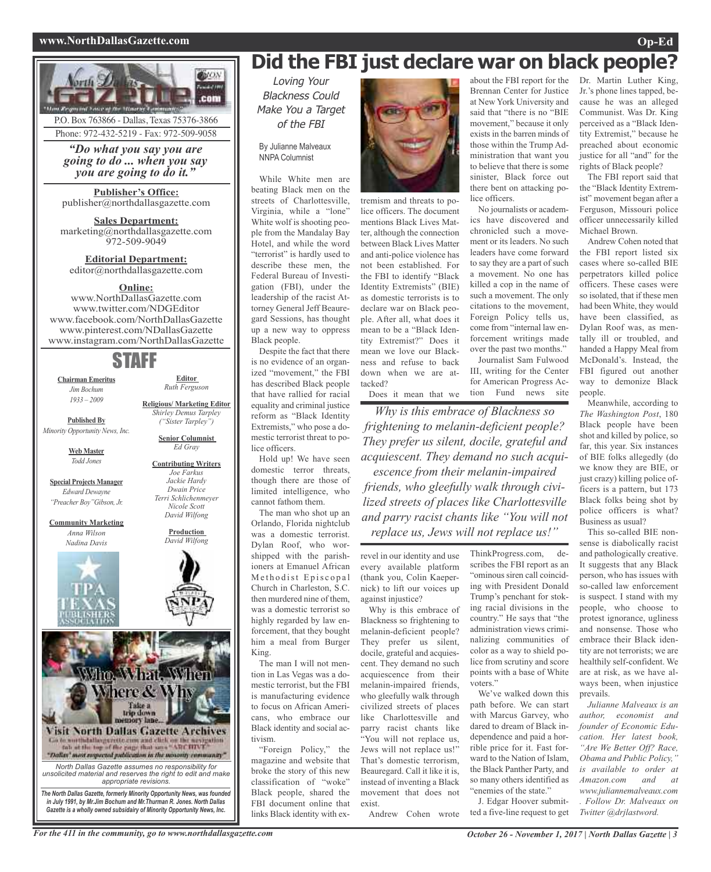### **www.NorthDallasGazette.com Op-Ed**



P.O. Box 763866 - Dallas, Texas 75376-3866 Phone: 972-432-5219 - Fax: 972-509-9058

*"Do what you say you are going to do ... when you say you are going to do it."*

**Publisher's Office:** publisher@northdallasgazette.com

**Sales Department:** marketing@northdallasgazette.com 972-509-9049

**Editorial Department:** editor@northdallasgazette.com

### **Online:**

www.NorthDallasGazette.com www.twitter.com/NDGEditor www.facebook.com/NorthDallasGazette www.pinterest.com/NDallasGazette www.instagram.com/NorthDallasGazette

# STAFF

**Chairman Emeritus** *Jim Bochum 1933 – 2009*

**Editor** *Ruth Ferguson*

**Religious/ Marketing Editor**

**Senior Columnist** *Ed Gray* **Contributing Writers** *Joe Farkus Jackie Hardy Dwain Price Terri Schlichenmeyer Nicole Scott David Wilfong* **Production** *David Wilfong*

*Shirley Demus Tarpley ("Sister Tarpley")* **Published By**

*Minority Opportunity News, Inc.*

**Web Master** *Todd Jones*

**Special Projects Manager** *Edward Dewayne "Preacher Boy"Gibson, Jr.*

**Community Marketing** *Anna Wilson Nadina Davis*





*in July 1991, by Mr.Jim Bochum and Mr.Thurman R. Jones. North Dallas Gazette is a wholly owned subsidairy of Minority Opportunity News, Inc.*

# **Did the FBI just declare war on black people?**

Loving Your Blackness Could Make You <sup>a</sup> Target of the FBI

By Julianne Malveaux NNPA Columnist

While White men are beating Black men on the streets of Charlottesville, Virginia, while a "lone" White wolf is shooting people from the Mandalay Bay Hotel, and while the word "terrorist" is hardly used to describe these men, the Federal Bureau of Investigation (FBI), under the leadership of the racist Attorney General Jeff Beauregard Sessions, has thought up a new way to oppress Black people. Despite the fact that there

is no evidence of an organized "movement," the FBI has described Black people that have rallied for racial equality and criminal justice reform as "Black Identity Extremists," who pose a domestic terrorist threat to police officers.

Hold up! We have seen domestic terror threats, though there are those of limited intelligence, who cannot fathom them.

The man who shot up an Orlando, Florida nightclub was a domestic terrorist. Dylan Roof, who worshipped with the parishioners at Emanuel African Methodist Episcopal Church in Charleston, S.C. then murdered nine of them, was a domestic terrorist so highly regarded by law enforcement, that they bought him a meal from Burger King.

The man I will not mention in Las Vegas was a domestic terrorist, but the FBI is manufacturing evidence to focus on African Americans, who embrace our Black identity and social activism.

"Foreign Policy," the magazine and website that broke the story of this new classification of "woke" Black people, shared the FBI document online that links Black identity with ex-



tremism and threats to police officers. The document mentions Black Lives Matter, although the connection between Black Lives Matter and anti-police violence has not been established. For the FBI to identify "Black Identity Extremists" (BIE) as domestic terrorists is to declare war on Black people. After all, what does it mean to be a "Black Identity Extremist?" Does it mean we love our Blackness and refuse to back down when we are attacked?

Does it mean that we

*Why is this embrace of Blackness so frightening to melanin-deficient people? They prefer us silent, docile, grateful and acquiescent. They demand no such acquiescence from their melanin-impaired friends, who gleefully walk through civilized streets of places like Charlottesville and parry racist chants like "You will not replace us, Jews will not replace us!"*

revel in our identity and use every available platform (thank you, Colin Kaepernick) to lift our voices up against injustice?

Why is this embrace of Blackness so frightening to melanin-deficient people? They prefer us silent, docile, grateful and acquiescent. They demand no such acquiescence from their melanin-impaired friends, who gleefully walk through civilized streets of places like Charlottesville and parry racist chants like "You will not replace us, Jews will not replace us!" That's domestic terrorism, Beauregard. Call it like it is, instead of inventing a Black movement that does not exist.

Andrew Cohen wrote

about the FBI report for the Brennan Center for Justice at New York University and said that "there is no "BIE movement," because it only exists in the barren minds of those within the Trump Administration that want you to believe that there is some sinister, Black force out there bent on attacking police officers.

No journalists or academics have discovered and chronicled such a movement or its leaders. No such leaders have come forward to say they are a part of such a movement. No one has killed a cop in the name of such a movement. The only citations to the movement, Foreign Policy tells us, come from "internal law enforcement writings made over the past two months." Journalist Sam Fulwood III, writing for the Center

for American Progress Action Fund news site

ThinkProgress.com, describes the FBI report as an "ominous siren call coinciding with President Donald Trump's penchant for stoking racial divisions in the country." He says that "the administration views criminalizing communities of color as a way to shield po-

> voters." We've walked down this path before. We can start with Marcus Garvey, who dared to dream of Black independence and paid a horrible price for it. Fast forward to the Nation of Islam, the Black Panther Party, and so many others identified as "enemies of the state."

> lice from scrutiny and score points with a base of White

J. Edgar Hoover submitted a five-line request to get Dr. Martin Luther King, Jr.'s phone lines tapped, because he was an alleged Communist. Was Dr. King perceived as a "Black Identity Extremist," because he preached about economic justice for all "and" for the rights of Black people?

The FBI report said that the "Black Identity Extremist" movement began after a Ferguson, Missouri police officer unnecessarily killed Michael Brown.

Andrew Cohen noted that the FBI report listed six cases where so-called BIE perpetrators killed police officers. These cases were so isolated, that if these men had been White, they would have been classified, as Dylan Roof was, as mentally ill or troubled, and handed a Happy Meal from McDonald's. Instead, the FBI figured out another way to demonize Black people.

Meanwhile, according to *The Washington Post*, 180 Black people have been shot and killed by police, so far, this year. Six instances of BIE folks allegedly (do we know they are BIE, or just crazy) killing police officers is a pattern, but 173 Black folks being shot by police officers is what? Business as usual?

This so-called BIE nonsense is diabolically racist and pathologically creative. It suggests that any Black person, who has issues with so-called law enforcement is suspect. I stand with my people, who choose to protest ignorance, ugliness and nonsense. Those who embrace their Black identity are not terrorists; we are healthily self-confident. We are at risk, as we have always been, when injustice prevails.

*Julianne Malveaux is an author, economist and founder of Economic Education. Her latest book, "Are We Better Off? Race, Obama and Public Policy," is available to order at Amazon.com and at www.juliannemalveaux.com . Follow Dr. Malveaux on Twitter @drjlastword.*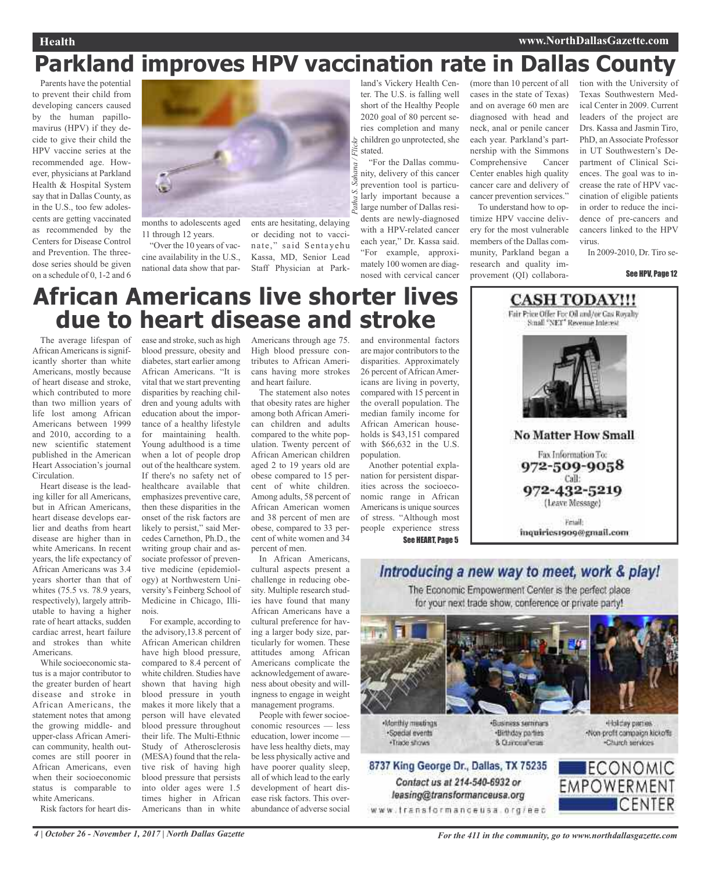### **Health www.NorthDallasGazette.com**

# **Parkland improves HPV vaccination rate in Dallas County**

Parents have the potential to prevent their child from developing cancers caused by the human papillomavirus (HPV) if they decide to give their child the HPV vaccine series at the recommended age. However, physicians at Parkland Health & Hospital System say that in Dallas County, as in the U.S., too few adolescents are getting vaccinated as recommended by the Centers for Disease Control and Prevention. The threedose series should be given on a schedule of 0, 1-2 and 6



11 through 12 years.

"Over the 10 years of vaccine availability in the U.S., national data show that par-

ents are hesitating, delaying or deciding not to vaccinate," said Sentayehu Kassa, MD, Senior Lead Staff Physician at Park-

land's Vickery Health Center. The U.S. is falling well short of the Healthy People 2020 goal of 80 percent series completion and many children go unprotected, she stated. *Patha S. Sahana / Flickr*

"For the Dallas community, delivery of this cancer prevention tool is particularly important because a large number of Dallas residents are newly-diagnosed with a HPV-related cancer each year," Dr. Kassa said. "For example, approximately 100 women are diagnosed with cervical cancer

(more than 10 percent of all cases in the state of Texas) and on average 60 men are diagnosed with head and neck, anal or penile cancer each year. Parkland's partnership with the Simmons Comprehensive Cancer Center enables high quality cancer care and delivery of cancer prevention services."

To understand how to optimize HPV vaccine delivery for the most vulnerable members of the Dallas community, Parkland began a research and quality improvement (QI) collaboration with the University of Texas Southwestern Medical Center in 2009. Current leaders of the project are Drs. Kassa and Jasmin Tiro, PhD, an Associate Professor in UT Southwestern's Department of Clinical Sciences. The goal was to increase the rate of HPV vaccination of eligible patients in order to reduce the incidence of pre-cancers and cancers linked to the HPV virus.

In 2009-2010, Dr. Tiro se-

### See HPV, Page 12

# **African Americans live shorter lives due to heart disease and stroke**

The average lifespan of African Americans is significantly shorter than white Americans, mostly because of heart disease and stroke, which contributed to more than two million years of life lost among African Americans between 1999 and 2010, according to a new scientific statement published in the American Heart Association's journal Circulation.

Heart disease is the leading killer for all Americans, but in African Americans, heart disease develops earlier and deaths from heart disease are higher than in white Americans. In recent years, the life expectancy of African Americans was 3.4 years shorter than that of whites (75.5 vs. 78.9 years, respectively), largely attributable to having a higher rate of heart attacks, sudden cardiac arrest, heart failure and strokes than white Americans.

While socioeconomic status is a major contributor to the greater burden of heart disease and stroke in African Americans, the statement notes that among the growing middle- and upper-class African American community, health outcomes are still poorer in African Americans, even when their socioeconomic status is comparable to white Americans.

Risk factors for heart dis-

ease and stroke, such as high blood pressure, obesity and diabetes, start earlier among African Americans. "It is vital that we start preventing disparities by reaching children and young adults with education about the importance of a healthy lifestyle for maintaining health. Young adulthood is a time when a lot of people drop out of the healthcare system. If there's no safety net of healthcare available that emphasizes preventive care, then these disparities in the onset of the risk factors are likely to persist," said Mercedes Carnethon, Ph.D., the writing group chair and associate professor of preventive medicine (epidemiology) at Northwestern University's Feinberg School of Medicine in Chicago, Illinois.

For example, according to the advisory,13.8 percent of African American children have high blood pressure, compared to 8.4 percent of white children. Studies have shown that having high blood pressure in youth makes it more likely that a person will have elevated blood pressure throughout their life. The Multi-Ethnic Study of Atherosclerosis (MESA) found that the relative risk of having high blood pressure that persists into older ages were 1.5 times higher in African Americans than in white

Americans through age 75. High blood pressure contributes to African Americans having more strokes and heart failure.

The statement also notes that obesity rates are higher among both African American children and adults compared to the white population. Twenty percent of African American children aged 2 to 19 years old are obese compared to 15 percent of white children. Among adults, 58 percent of African American women and 38 percent of men are obese, compared to 33 percent of white women and 34 percent of men.

In African Americans, cultural aspects present a challenge in reducing obesity. Multiple research studies have found that many African Americans have a cultural preference for having a larger body size, particularly for women. These attitudes among African Americans complicate the acknowledgement of awareness about obesity and willingness to engage in weight management programs.

People with fewer socioeconomic resources — less education, lower income have less healthy diets, may be less physically active and have poorer quality sleep, all of which lead to the early development of heart disease risk factors. This overabundance of adverse social and environmental factors are major contributors to the disparities. Approximately 26 percent of African Americans are living in poverty, compared with 15 percent in the overall population. The median family income for African American households is \$43,151 compared with \$66,632 in the U.S. population.

Another potential explanation for persistent disparities across the socioeconomic range in African Americans is unique sources of stress. "Although most people experience stress See HEART, Page 5



inquiries1909@gmail.com



·Special events ·Trade shows

Contact us at 214-540-6932 or

leasing@transformanceusa.org

8. Curicea Tenas

-Non-profit compaign kickoffs Charch services

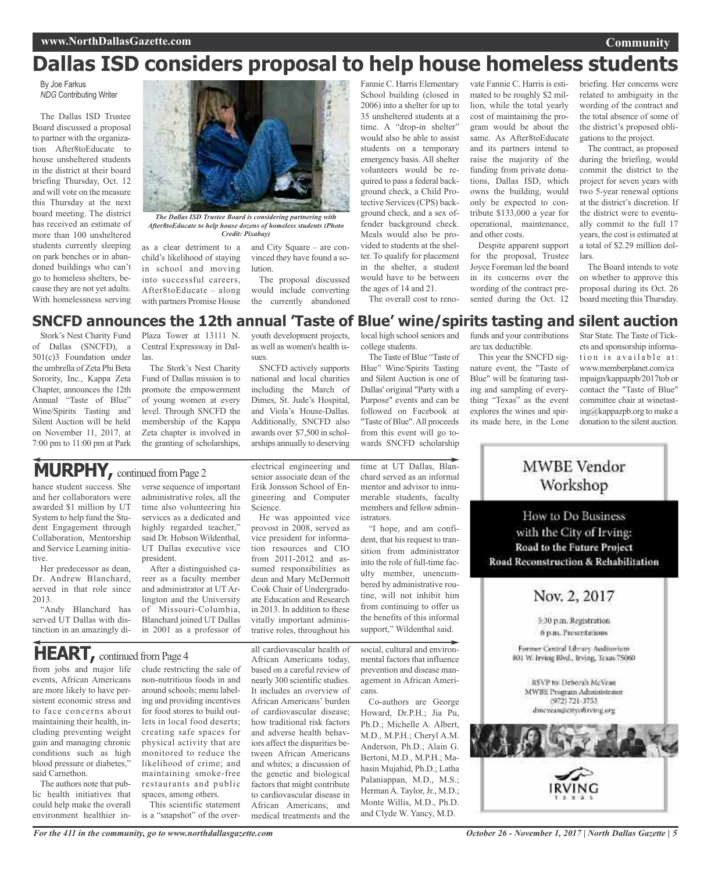# **Dallas ISD considers proposal to help house homeless students**

By Joe Farkus *NDG* Contributing Writer

The Dallas ISD Trustee Board discussed a proposal to partner with the organization After8toEducate to house unsheltered students in the district at their board briefing Thursday, Oct. 12 and will vote on the measure this Thursday at the next board meeting. The district has received an estimate of more than 100 unsheltered students currently sleeping on park benches or in abandoned buildings who can't go to homeless shelters, because they are not yet adults. With homelessness serving



*The Dallas ISD Trustee Board is considering partnering with After8toEducate to help house dozens of homeless students (Photo Credit: Pixabay)*

as a clear detriment to a child's likelihood of staying in school and moving into successful careers, After8toEducate – along with partners Promise House and City Square – are convinced they have found a solution.

The proposal discussed would include converting the currently abandoned

as well as women's health is-

SNCFD actively supports national and local charities including the March of Dimes, St. Jude's Hospital, and Viola's House-Dallas. Additionally, SNCFD also awards over \$7,500 in scholarships annually to deserving

Fannie C. Harris Elementary School building (closed in 2006) into a shelter for up to 35 unsheltered students at a time. A "drop-in shelter" would also be able to assist students on a temporary emergency basis. All shelter volunteers would be required to pass a federal background check, a Child Protective Services(CPS) background check, and a sex offender background check. Meals would also be provided to students at the shelter. To qualify for placement in the shelter, a student would have to be between the ages of 14 and 21.

lion, while the total yearly cost of maintaining the program would be about the same. As After8toEducate and its partners intend to raise the majority of the funding from private donations, Dallas ISD, which owns the building, would only be expected to contribute \$133,000 a year for operational, maintenance, and other costs. Despite apparent support

vate Fannie C. Harris is estimated to be roughly \$2 mil-

for the proposal, Trustee Joyce Foreman led the board in its concerns over the wording of the contract presented during the Oct. 12

briefing. Her concerns were related to ambiguity in the wording of the contract and the total absence of some of the district's proposed obligations to the project.

**Community**

The contract, as proposed during the briefing, would commit the district to the project for seven years with two 5-year renewal options at the district's discretion. If the district were to eventually commit to the full 17 years, the cost is estimated at a total of \$2.29 million dollars.

The Board intends to vote on whether to approve this proposal during its Oct. 26 board meeting this Thursday.

### youth development projects, local high school seniors and **SNCFD announces the 12th annual 'Taste of Blue' wine/spirits tasting and silent auction**

sues.

Stork's Nest Charity Fund of Dallas (SNCFD), a 501(c)3 Foundation under the umbrella of Zeta Phi Beta Sorority, Inc., Kappa Zeta Chapter, announces the 12th Annual "Taste of Blue" Wine/Spirits Tasting and Silent Auction will be held on November 11, 2017, at 7:00 pm to 11:00 pm at Park

Plaza Tower at 13111 N. Central Expressway in Dallas.

The Stork's Nest Charity Fund of Dallas mission is to promote the empowerment of young women at every level. Through SNCFD the membership of the Kappa Zeta chapter is involved in the granting of scholarships,

MURPHY, continued from Page 2

hance student success. She and her collaborators were awarded \$1 million by UT System to help fund the Student Engagement through Collaboration, Mentorship and Service Learning initiative.

Her predecessor as dean, Dr. Andrew Blanchard, served in that role since 2013.

"Andy Blanchard has served UT Dallas with distinction in an amazingly diverse sequence of important administrative roles, all the time also volunteering his services as a dedicated and highly regarded teacher," said Dr. Hobson Wildenthal, UT Dallas executive vice president.

After a distinguished career as a faculty member and administrator at UT Arlington and the University of Missouri-Columbia, Blanchard joined UT Dallas in 2001 as a professor of

**HEART**, continued from Page 4

from jobs and major life events, African Americans are more likely to have persistent economic stress and to face concerns about maintaining their health, including preventing weight gain and managing chronic conditions such as high blood pressure or diabetes," said Carnethon.

The authors note that public health initiatives that could help make the overall environment healthier include restricting the sale of non-nutritious foods in and around schools; menu labeling and providing incentives for food stores to build outlets in local food deserts; creating safe spaces for physical activity that are monitored to reduce the likelihood of crime; and maintaining smoke-free restaurants and public spaces, among others.

This scientific statement is a "snapshot" of the overelectrical engineering and senior associate dean of the Erik Jonsson School of Engineering and Computer Science.

He was appointed vice provost in 2008, served as vice president for information resources and CIO from 2011-2012 and assumed responsibilities as dean and Mary McDermott Cook Chair of Undergraduate Education and Research in 2013. In addition to these vitally important administrative roles, throughout his

all cardiovascular health of African Americans today, based on a careful review of nearly 300 scientific studies. It includes an overview of African Americans' burden of cardiovascular disease; how traditional risk factors and adverse health behaviors affect the disparities between African Americans and whites; a discussion of the genetic and biological factors that might contribute to cardiovascular disease in African Americans; and medical treatments and the

time at UT Dallas, Blanchard served as an informal mentor and advisor to innumerable students, faculty members and fellow administrators.

college students.

The Taste of Blue "Taste of Blue" Wine/Spirits Tasting and Silent Auction is one of Dallas' original "Party with a Purpose" events and can be followed on Facebook at "Taste of Blue".All proceeds from this event will go towards SNCFD scholarship

The overall cost to reno-

"I hope, and am confident, that his request to transition from administrator into the role of full-time faculty member, unencumbered by administrative routine, will not inhibit him from continuing to offer us the benefits of this informal support," Wildenthal said.

social, cultural and environmental factors that influence prevention and disease management in African Americans.

Co-authors are George Howard, Dr.P.H.; Jia Pu, Ph.D.; Michelle A. Albert, M.D., M.P.H.; Cheryl A.M. Anderson, Ph.D.; Alain G. Bertoni, M.D., M.P.H.; Mahasin Mujahid, Ph.D.; Latha Palaniappan, M.D., M.S.; Herman A. Taylor, Jr., M.D.; Monte Willis, M.D., Ph.D. and Clyde W. Yancy, M.D.

funds and your contributions are tax deductible.

This year the SNCFD signature event, the "Taste of Blue" will be featuring tasting and sampling of everything "Texas" as the event explores the wines and spirits made here, in the Lone

Star State. The Taste of Tickets and sponsorship information is available at: www.memberplanet.com/ca mpaign/kappazpb/2017tob or contact the "Taste of Blue" committee chair at winetasting@kappazpb.org to make a donation to the silent auction.



MWBE Vendor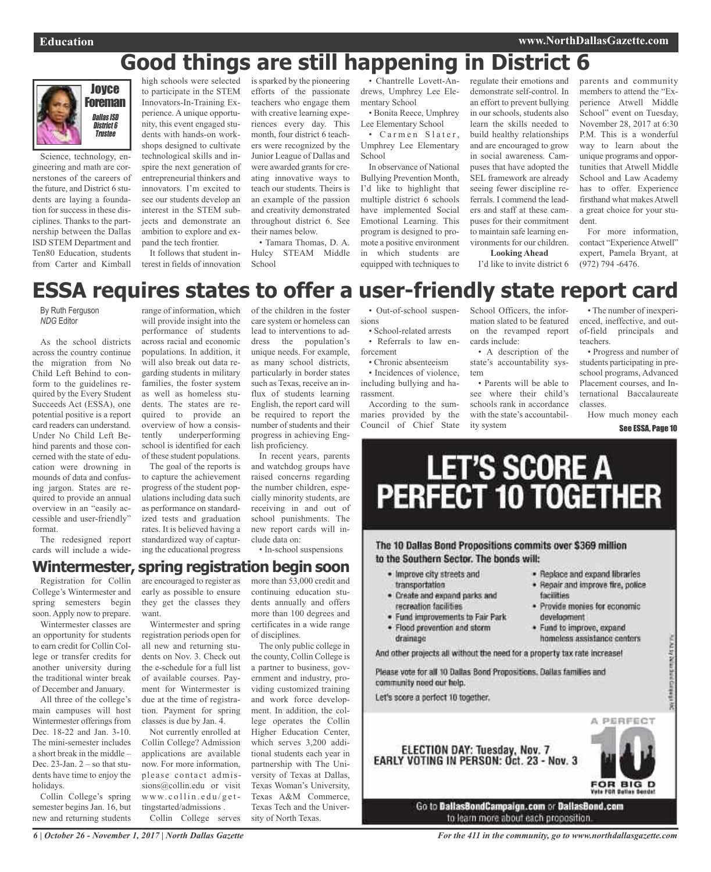# **Good things are still happening in District 6**



Science, technology, engineering and math are cornerstones of the careers of the future, and District 6 students are laying a foundation for success in these disciplines. Thanks to the partnership between the Dallas ISD STEM Department and Ten80 Education, students from Carter and Kimball

high schools were selected to participate in the STEM Innovators-In-Training Experience. A unique opportunity, this event engaged students with hands-on workshops designed to cultivate technological skills and inspire the next generation of entrepreneurial thinkers and innovators. I'm excited to see our students develop an interest in the STEM subjects and demonstrate an ambition to explore and expand the tech frontier.

It follows that student interest in fields of innovation

is sparked by the pioneering efforts of the passionate teachers who engage them with creative learning experiences every day. This month, four district 6 teachers were recognized by the Junior League of Dallas and were awarded grants for creating innovative ways to teach our students. Theirs is an example of the passion and creativity demonstrated throughout district 6. See their names below.

• Tamara Thomas, D. A. Hulcy STEAM Middle School

• Chantrelle Lovett-Andrews, Umphrey Lee Elementary School

• Bonita Reece, Umphrey Lee Elementary School • Carmen Slater,

Umphrey Lee Elementary **School** 

In observance of National Bullying Prevention Month, I'd like to highlight that multiple district 6 schools have implemented Social Emotional Learning. This program is designed to promote a positive environment in which students are equipped with techniques to

regulate their emotions and demonstrate self-control. In an effort to prevent bullying in our schools, students also learn the skills needed to build healthy relationships and are encouraged to grow in social awareness. Campuses that have adopted the SEL framework are already seeing fewer discipline referrals. I commend the leaders and staff at these campuses for their commitment to maintain safe learning environments for our children.

November 28, 2017 at 6:30 P.M. This is a wonderful way to learn about the unique programs and opportunities that Atwell Middle School and Law Academy has to offer. Experience firsthand what makesAtwell a great choice for your student. For more information,

contact "Experience Atwell" expert, Pamela Bryant, at (972) 794 -6476.

parents and community members to attend the "Experience Atwell Middle School" event on Tuesday,

# **ESSA requires states to offer a user-friendly state report card**

By Ruth Ferguson *NDG* Editor

As the school districts across the country continue the migration from No Child Left Behind to conform to the guidelines required by the Every Student Succeeds Act (ESSA), one potential positive is a report card readers can understand. Under No Child Left Behind parents and those concerned with the state of education were drowning in mounds of data and confusing jargon. States are required to provide an annual overview in an "easily accessible and user-friendly" format.

The redesigned report cards will include a wide-

range of information, which will provide insight into the performance of students across racial and economic populations. In addition, it will also break out data regarding students in military families, the foster system as well as homeless students. The states are required to provide an overview of how a consistently underperforming school is identified for each of these student populations.

The goal of the reports is to capture the achievement progress of the student populations including data such as performance on standardized tests and graduation rates. It is believed having a standardized way of capturing the educational progress

care system or homeless can lead to interventions to address the population's unique needs. For example, as many school districts, particularly in border states such as Texas, receive an influx of students learning English, the report card will be required to report the number of students and their progress in achieving English proficiency.

In recent years, parents and watchdog groups have raised concerns regarding the number children, especially minority students, are receiving in and out of school punishments. The new report cards will include data on:

• In-school suspensions

# **Wintermester, spring registration begin soon**

Registration for Collin College's Wintermester and spring semesters begin soon. Apply now to prepare.

Wintermester classes are an opportunity for students to earn credit for Collin College or transfer credits for another university during the traditional winter break of December and January.

All three of the college's main campuses will host Wintermester offerings from Dec. 18-22 and Jan. 3-10. The mini-semester includes a short break in the middle – Dec.  $23$ -Jan.  $2 -$ so that students have time to enjoy the holidays.

Collin College's spring semester begins Jan. 16, but new and returning students

are encouraged to register as early as possible to ensure they get the classes they want.

Wintermester and spring registration periods open for all new and returning students on Nov. 3. Check out the e-schedule for a full list of available courses. Payment for Wintermester is due at the time of registration. Payment for spring classes is due by Jan. 4.

Not currently enrolled at Collin College? Admission applications are available now. For more information, please contact admissions@collin.edu or visit  $w w w$ . c o l l i n . e d u / g e t tingstarted/admissions . Collin College serves

more than 53,000 credit and continuing education students annually and offers more than 100 degrees and certificates in a wide range of disciplines.

The only public college in the county, Collin College is a partner to business, government and industry, providing customized training and work force development. In addition, the college operates the Collin Higher Education Center, which serves 3,200 additional students each year in partnership with The University of Texas at Dallas, Texas Woman's University, Texas A&M Commerce, Texas Tech and the University of North Texas.

of the children in the foster • Out-of-school suspensions • School-related arrests

> • Referrals to law enforcement

> • Chronic absenteeism • Incidences of violence, including bullying and harassment.

> According to the summaries provided by the Council of Chief State

School Officers, the information slated to be featured on the revamped report cards include:

**Looking Ahead** I'd like to invite district 6

• A description of the state's accountability system

• Parents will be able to see where their child's schools rank in accordance with the state's accountability system

• The number of inexperienced, ineffective, and outof-field principals and teachers.

• Progress and number of students participating in preschool programs, Advanced Placement courses, and International Baccalaureate classes.

How much money each See ESSA, Page 10

# LET'S SCORE A<br>PERFECT 10 TOGETHER

The 10 Dallas Bond Propositions commits over \$369 million to the Southern Sector. The bonds will:

- · Improve city streets and transportation
- . Create and expand parks and recreation facilities
- · Fund improvements to Fair Park
- · Flood prevention and storm
- drainage

And other projects all without the need for a property tax rate increase!

Please vote for all 10 Dallas Bond Propositions. Dallas families and community need our help.

Let's score a perfect 10 together.



NAME OF DRIVING COMPANY

· Replace and expand libraries

· Provide monies for economic

· Fund to improve, expand

facilities

development

· Repair and improve fire, police



*6 | October 26 - November 1, 2017 | North Dallas Gazette*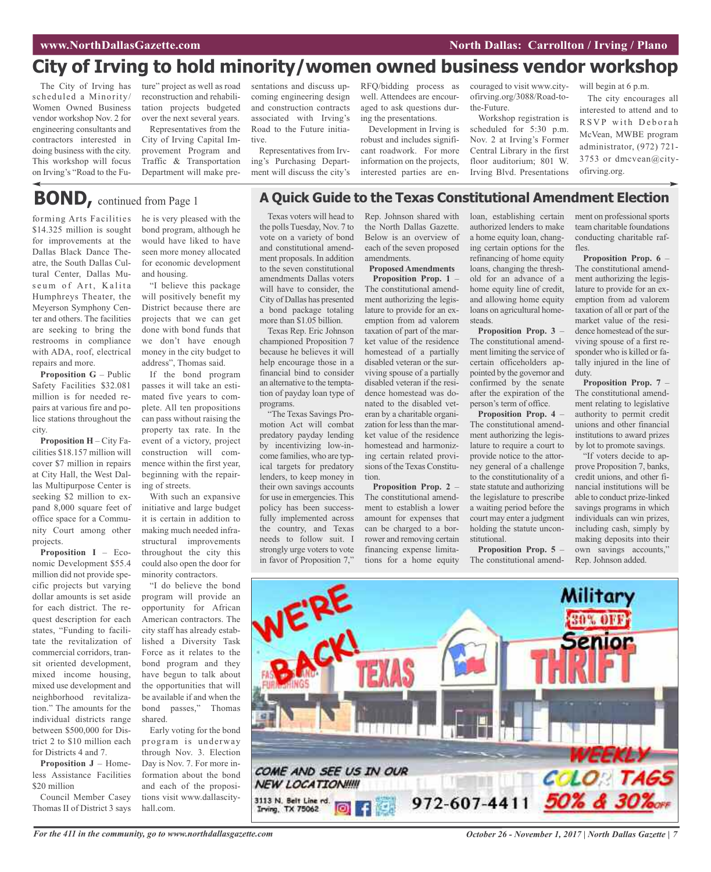# **City of Irving to hold minority/women owned business vendor workshop**

The City of Irving has scheduled a Minority/ Women Owned Business vendor workshop Nov. 2 for engineering consultants and contractors interested in doing business with the city. This workshop will focus on Irving's "Road to the Fu-

ture" project as well as road reconstruction and rehabilitation projects budgeted over the next several years. Representatives from the City of Irving Capital Improvement Program and Traffic & Transportation Department will make presentations and discuss upcoming engineering design and construction contracts associated with Irving's Road to the Future initiative.

Representatives from Irving's Purchasing Department will discuss the city's RFQ/bidding process as well. Attendees are encouraged to ask questions during the presentations.

Development in Irving is robust and includes significant roadwork. For more information on the projects, interested parties are en-

**A Quick Guide to the Texas Constitutional Amendment Election**

couraged to visit www.cityofirving.org/3088/Road-tothe-Future.

Workshop registration is scheduled for 5:30 p.m. Nov. 2 at Irving's Former Central Library in the first floor auditorium; 801 W. Irving Blvd. Presentations will begin at 6 p.m.

The city encourages all interested to attend and to RSVP with Deborah McVean, MWBE program administrator, (972) 721- 3753 or dmcvean@cityofirving.org.

# **BOND,** continued from Page <sup>1</sup>

forming Arts Facilities \$14.325 million is sought for improvements at the Dallas Black Dance Theatre, the South Dallas Cultural Center, Dallas Museum of Art, Kalita Humphreys Theater, the Meyerson Symphony Center and others. The facilities are seeking to bring the restrooms in compliance with ADA, roof, electrical repairs and more.

**Proposition G** – Public Safety Facilities \$32.081 million is for needed repairs at various fire and police stations throughout the city.

**Proposition H** – City Facilities \$18.157 million will cover \$7 million in repairs at City Hall, the West Dallas Multipurpose Center is seeking \$2 million to expand 8,000 square feet of office space for a Community Court among other projects.

**Proposition I** – Economic Development \$55.4 million did not provide specific projects but varying dollar amounts is set aside for each district. The request description for each states, "Funding to facilitate the revitalization of commercial corridors, transit oriented development, mixed income housing, mixed use development and neighborhood revitalization." The amounts for the individual districts range between \$500,000 for District 2 to \$10 million each for Districts 4 and 7.

**Proposition J** – Homeless Assistance Facilities \$20 million

Council Member Casey Thomas II of District 3 says he is very pleased with the bond program, although he would have liked to have seen more money allocated for economic development and housing.

"I believe this package will positively benefit my District because there are projects that we can get done with bond funds that we don't have enough money in the city budget to address", Thomas said.

If the bond program passes it will take an estimated five years to complete. All ten propositions can pass without raising the property tax rate. In the event of a victory, project construction will commence within the first year, beginning with the repairing of streets.

With such an expansive initiative and large budget it is certain in addition to making much needed infrastructural improvements throughout the city this could also open the door for minority contractors.

"I do believe the bond program will provide an opportunity for African American contractors. The city staff has already established a Diversity Task Force as it relates to the bond program and they have begun to talk about the opportunities that will be available if and when the bond passes," Thomas shared.

Early voting for the bond program is underway through Nov. 3. Election Day is Nov. 7. For more information about the bond and each of the propositions visit www.dallascityhall.com.

Texas voters will head to the polls Tuesday, Nov. 7 to vote on a variety of bond and constitutional amendment proposals. In addition to the seven constitutional amendments Dallas voters will have to consider, the City of Dallas has presented a bond package totaling more than \$1.05 billion.

Texas Rep. Eric Johnson championed Proposition 7 because he believes it will help encourage those in a financial bind to consider an alternative to the temptation of payday loan type of programs.

"The Texas Savings Promotion Act will combat predatory payday lending by incentivizing low-income families, who are typical targets for predatory lenders, to keep money in their own savings accounts for use in emergencies. This policy has been successfully implemented across the country, and Texas needs to follow suit. I strongly urge voters to vote in favor of Proposition 7," Rep. Johnson shared with the North Dallas Gazette. Below is an overview of each of the seven proposed amendments.

**Proposed Amendments Proposition Prop. 1** – The constitutional amendment authorizing the legislature to provide for an exemption from ad valorem taxation of part of the market value of the residence homestead of a partially disabled veteran or the surviving spouse of a partially disabled veteran if the residence homestead was donated to the disabled veteran by a charitable organization for less than the market value of the residence homestead and harmonizing certain related provisions of the Texas Constitution.

**Proposition Prop. 2** – The constitutional amendment to establish a lower amount for expenses that can be charged to a borrower and removing certain financing expense limitations for a home equity loan, establishing certain authorized lenders to make a home equity loan, changing certain options for the refinancing of home equity loans, changing the threshold for an advance of a home equity line of credit, and allowing home equity loans on agricultural homesteads.

**Proposition Prop. 3** – The constitutional amendment limiting the service of certain officeholders appointed by the governor and confirmed by the senate after the expiration of the person's term of office.

**Proposition Prop. 4** – The constitutional amendment authorizing the legislature to require a court to provide notice to the attorney general of a challenge to the constitutionality of a state statute and authorizing the legislature to prescribe a waiting period before the court may enter a judgment holding the statute unconstitutional.

**Proposition Prop. 5** – The constitutional amendment on professional sports team charitable foundations conducting charitable raffles.

**Proposition Prop. 6** – The constitutional amendment authorizing the legislature to provide for an exemption from ad valorem taxation of all or part of the market value of the residence homestead of the surviving spouse of a first responder who is killed or fatally injured in the line of duty.

**Proposition Prop. 7** – The constitutional amendment relating to legislative authority to permit credit unions and other financial institutions to award prizes by lot to promote savings.

"If voters decide to approve Proposition 7, banks, credit unions, and other financial institutions will be able to conduct prize-linked savings programs in which individuals can win prizes, including cash, simply by making deposits into their own savings accounts," Rep. Johnson added.



For the 411 in the community, go to www.northdallasgazette.com October 26 - November 1, 2017 | North Dallas Gazette | 7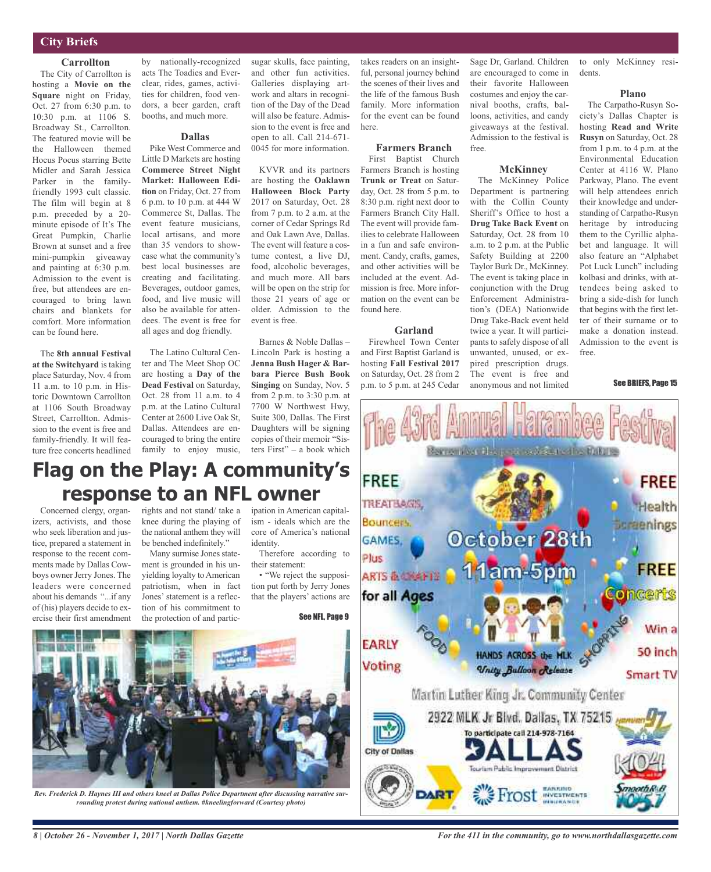### **City Briefs**

### **Carrollton**

The City of Carrollton is hosting a **Movie on the Square** night on Friday, Oct. 27 from 6:30 p.m. to 10:30 p.m. at 1106 S. Broadway St., Carrollton. The featured movie will be the Halloween themed Hocus Pocus starring Bette Midler and Sarah Jessica Parker in the familyfriendly 1993 cult classic. The film will begin at 8 p.m. preceded by a 20 minute episode of It's The Great Pumpkin, Charlie Brown at sunset and a free mini-pumpkin giveaway and painting at 6:30 p.m. Admission to the event is free, but attendees are encouraged to bring lawn chairs and blankets for comfort. More information can be found here.

The **8th annual Festival at the Switchyard** is taking place Saturday, Nov. 4 from 11 a.m. to 10 p.m. in Historic Downtown Carrollton at 1106 South Broadway Street, Carrollton. Admission to the event is free and family-friendly. It will feature free concerts headlined

by nationally-recognized acts The Toadies and Everclear, rides, games, activities for children, food vendors, a beer garden, craft booths, and much more.

### **Dallas**

Pike West Commerce and Little D Markets are hosting **Commerce Street Night Market: Halloween Edition** on Friday, Oct. 27 from 6 p.m. to 10 p.m. at 444 W Commerce St, Dallas. The event feature musicians, local artisans, and more than 35 vendors to showcase what the community's best local businesses are creating and facilitating. Beverages, outdoor games, food, and live music will also be available for attendees. The event is free for all ages and dog friendly.

The Latino Cultural Center and The Meet Shop OC are hosting a **Day of the Dead Festival** on Saturday, Oct. 28 from 11 a.m. to 4 p.m. at the Latino Cultural Center at 2600 Live Oak St, Dallas. Attendees are encouraged to bring the entire family to enjoy music,

sugar skulls, face painting, and other fun activities. Galleries displaying artwork and altars in recognition of the Day of the Dead will also be feature. Admission to the event is free and open to all. Call 214-671- 0045 for more information.

KVVR and its partners are hosting the **Oaklawn Halloween Block Party** 2017 on Saturday, Oct. 28 from 7 p.m. to 2 a.m. at the corner of Cedar Springs Rd and Oak Lawn Ave, Dallas. The event will feature a costume contest, a live DJ, food, alcoholic beverages, and much more. All bars will be open on the strip for those 21 years of age or older. Admission to the event is free.

Barnes & Noble Dallas – Lincoln Park is hosting a **Jenna Bush Hager & Barbara Pierce Bush Book Singing** on Sunday, Nov. 5 from 2 p.m. to 3:30 p.m. at 7700 W Northwest Hwy, Suite 300, Dallas. The First Daughters will be signing copies of their memoir "Sisters First" – a book which

takes readers on an insightful, personal journey behind the scenes of their lives and the life of the famous Bush family. More information for the event can be found here.

### **Farmers Branch**

First Baptist Church Farmers Branch is hosting **Trunk or Treat** on Saturday, Oct. 28 from 5 p.m. to 8:30 p.m. right next door to Farmers Branch City Hall. The event will provide families to celebrate Halloween in a fun and safe environment. Candy, crafts, games, and other activities will be included at the event. Admission is free. More information on the event can be found here.

### **Garland**

Firewheel Town Center and First Baptist Garland is hosting **Fall Festival 2017** on Saturday, Oct. 28 from 2 p.m. to 5 p.m. at 245 Cedar Sage Dr, Garland. Children are encouraged to come in their favorite Halloween costumes and enjoy the carnival booths, crafts, balloons, activities, and candy giveaways at the festival. Admission to the festival is free.

### **McKinney**

The McKinney Police Department is partnering with the Collin County Sheriff's Office to host a **Drug Take Back Event** on Saturday, Oct. 28 from 10 a.m. to 2 p.m. at the Public Safety Building at 2200 Taylor Burk Dr., McKinney. The event is taking place in conjunction with the Drug Enforcement Administration's (DEA) Nationwide Drug Take-Back event held twice a year. It will participants to safely dispose of all unwanted, unused, or expired prescription drugs. The event is free and anonymous and not limited

to only McKinney residents.

### **Plano**

The Carpatho-Rusyn Society's Dallas Chapter is hosting **Read and Write Rusyn** on Saturday, Oct. 28 from 1 p.m. to 4 p.m. at the Environmental Education Center at 4116 W. Plano Parkway, Plano. The event will help attendees enrich their knowledge and understanding of Carpatho-Rusyn heritage by introducing them to the Cyrillic alphabet and language. It will also feature an "Alphabet Pot Luck Lunch" including kolbasi and drinks, with attendees being asked to bring a side-dish for lunch that begins with the first letter of their surname or to make a donation instead. Admission to the event is free.

### See BRIEFS, Page 15



### Concerned clergy, organrights and not stand/ take a **Flag on the Play: A community's response to an NFL owner**

izers, activists, and those who seek liberation and justice, prepared a statement in response to the recent comments made by Dallas Cowboys owner Jerry Jones. The leaders were concerned about his demands "...if any of (his) players decide to exercise their first amendment



Many surmise Jones statement is grounded in his unyielding loyalty to American patriotism, when in fact Jones' statement is a reflection of his commitment to the protection of and participation in American capitalism - ideals which are the core of America's national identity.

Therefore according to their statement:

• "We reject the supposition put forth by Jerry Jones that the players' actions are

See NFL, Page 9



*Rev. Frederick D. Haynes III and others kneel at Dallas Police Department after discussing narrative surrounding protest during national anthem. #kneelingforward (Courtesy photo)*

*For the 411 in the community, go to www.northdallasgazette.com*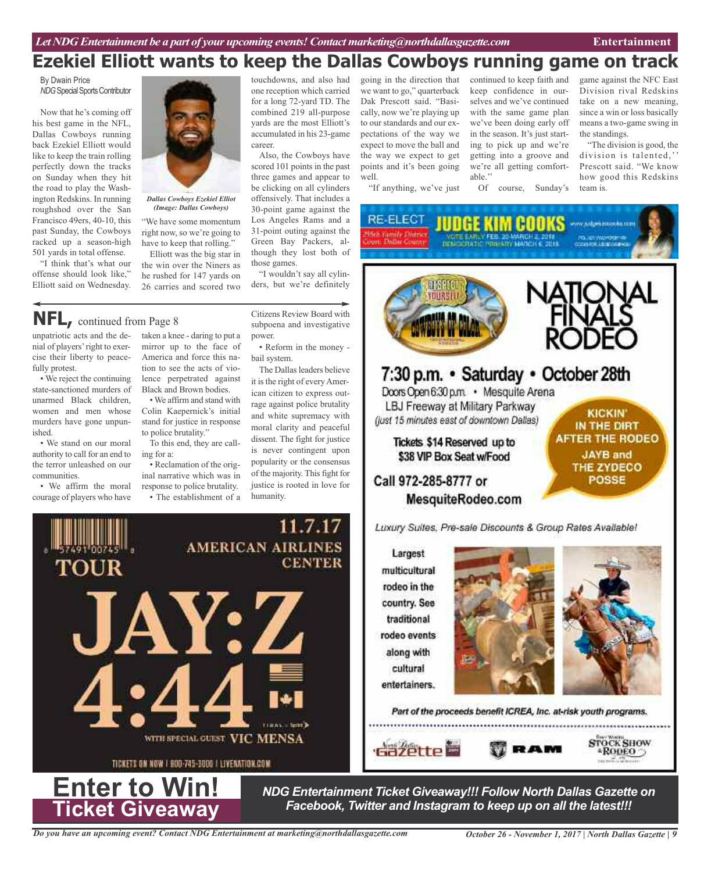# **Ezekiel Elliott wants to keep the Dallas Cowboys running game on track**

By Dwain Price **NDG** Special Sports Contributor

Now that he's coming off his best game in the NFL, Dallas Cowboys running back Ezekiel Elliott would like to keep the train rolling perfectly down the tracks on Sunday when they hit the road to play the Washington Redskins. In running roughshod over the San Francisco 49ers, 40-10, this past Sunday, the Cowboys racked up a season-high 501 yards in total offense.

"I think that's what our offense should look like," Elliott said on Wednesday.



### *Dallas Cowboys Ezekiel Elliot (Image: Dallas Cowboys)*

"We have some momentum right now, so we're going to have to keep that rolling."

Elliott was the big star in the win over the Niners as he rushed for 147 yards on 26 carries and scored two

**NFL,** continued from Page <sup>8</sup>

unpatriotic acts and the denial of players'right to exercise their liberty to peacefully protest.

• We reject the continuing state-sanctioned murders of unarmed Black children, women and men whose murders have gone unpunished.

• We stand on our moral authority to call for an end to the terror unleashed on our communities.

• We affirm the moral courage of players who have



lence perpetrated against Black and Brown bodies.

• We affirm and stand with Colin Kaepernick's initial stand for justice in response to police brutality."

To this end, they are calling for a:

• Reclamation of the original narrative which was in response to police brutality. • The establishment of a touchdowns, and also had one reception which carried for a long 72-yard TD. The combined 219 all-purpose yards are the most Elliott's accumulated in his 23-game career.

Also, the Cowboys have scored 101 points in the past three games and appear to be clicking on all cylinders offensively. That includes a 30-point game against the Los Angeles Rams and a 31-point outing against the Green Bay Packers, although they lost both of those games.

"I wouldn't say all cylinders, but we're definitely

Citizens Review Board with subpoena and investigative

• Reform in the money -

The Dallas leaders believe it is the right of every American citizen to express outrage against police brutality and white supremacy with moral clarity and peaceful dissent. The fight for justice is never contingent upon popularity or the consensus of the majority. This fight for justice is rooted in love for

11.7.17

power.

bail system.

humanity.

going in the direction that we want to go," quarterback Dak Prescott said. "Basically, now we're playing up to our standards and our expectations of the way we expect to move the ball and the way we expect to get points and it's been going well.

"If anything, we've just

continued to keep faith and keep confidence in ourselves and we've continued with the same game plan we've been doing early off in the season. It's just starting to pick up and we're getting into a groove and we're all getting comfortable.'' Of course, Sunday's

game against the NFC East Division rival Redskins take on a new meaning, since a win or loss basically means a two-game swing in the standings.

"The division is good, the division is talented,'' Prescott said. "We know how good this Redskins team is.

**RE-ELECT JUDGE KIM COOKS DEMOCRATIC PRIMARY MARCH E** 



Luxury Suites, Pre-sale Discounts & Group Rates Available!

Largest multicultural rodeo in the country. See traditional rodeo events along with cultural entertainers.





Part of the proceeds benefit ICREA, Inc. at-risk youth programs.





*NDG Entertainment Ticket Giveaway!!! Follow North Dallas Gazette on Facebook, Twitter and Instagram to keep up on all the latest!!!*

**AMERICAN AIRLINES CENTER** JAY:Z WITH SPECIAL GUEST VIC MENSA TICKETS ON NOW I 800-745-3000 | LIVENATION.COM **Enter to Win!**

**Ticket Giveaway**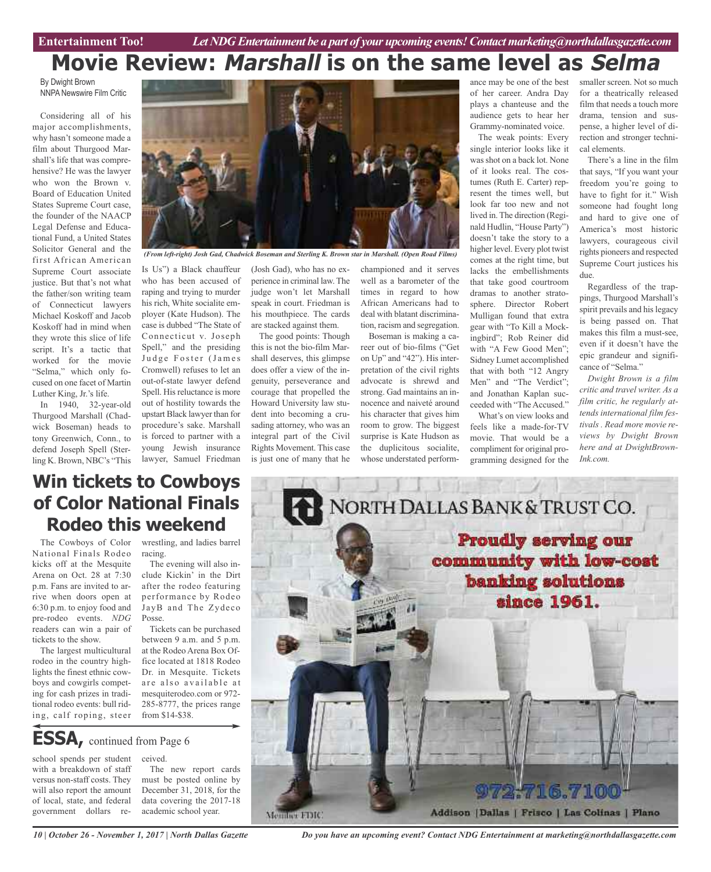# **Movie Review: Marshall is on the same level as Selma**

By Dwight Brown NNPA Newswire Film Critic

Considering all of his major accomplishments, why hasn't someone made a film about Thurgood Marshall's life that was comprehensive? He was the lawyer who won the Brown v. Board of Education United States Supreme Court case, the founder of the NAACP Legal Defense and Educational Fund, a United States Solicitor General and the first African American Supreme Court associate justice. But that's not what the father/son writing team of Connecticut lawyers Michael Koskoff and Jacob Koskoff had in mind when they wrote this slice of life script. It's a tactic that worked for the movie "Selma," which only focused on one facet of Martin Luther King, Jr.'s life.

In 1940, 32-year-old Thurgood Marshall (Chadwick Boseman) heads to tony Greenwich, Conn., to defend Joseph Spell (Sterling K. Brown, NBC's "This



*(From left-right) Josh Gad, Chadwick Boseman and Sterling K. Brown star in Marshall. (Open Road Films)*

Is Us") a Black chauffeur who has been accused of raping and trying to murder his rich, White socialite employer (Kate Hudson). The case is dubbed "The State of Connecticut v. Joseph Spell," and the presiding Judge Foster (James Cromwell) refuses to let an out-of-state lawyer defend Spell. His reluctance is more out of hostility towards the upstart Black lawyer than for procedure's sake. Marshall is forced to partner with a young Jewish insurance lawyer, Samuel Friedman

(Josh Gad), who has no experience in criminal law. The judge won't let Marshall speak in court. Friedman is his mouthpiece. The cards are stacked against them.

The good points: Though this is not the bio-film Marshall deserves, this glimpse does offer a view of the ingenuity, perseverance and courage that propelled the Howard University law student into becoming a crusading attorney, who was an integral part of the Civil Rights Movement. This case is just one of many that he

championed and it serves well as a barometer of the times in regard to how African Americans had to deal with blatant discrimination, racism and segregation.

Boseman is making a career out of bio-films ("Get on Up" and "42"). His interpretation of the civil rights advocate is shrewd and strong. Gad maintains an innocence and naiveté around his character that gives him room to grow. The biggest surprise is Kate Hudson as the duplicitous socialite, whose understated perform-

ance may be one of the best of her career. Andra Day plays a chanteuse and the audience gets to hear her Grammy-nominated voice.

The weak points: Every single interior looks like it wasshot on a back lot. None of it looks real. The costumes (Ruth E. Carter) represent the times well, but look far too new and not lived in. The direction (Reginald Hudlin, "House Party") doesn't take the story to a higher level. Every plot twist comes at the right time, but lacks the embellishments that take good courtroom dramas to another stratosphere. Director Robert Mulligan found that extra gear with "To Kill a Mockingbird"; Rob Reiner did with "A Few Good Men"; Sidney Lumet accomplished that with both "12 Angry Men" and "The Verdict"; and Jonathan Kaplan succeeded with "The Accused."

What's on view looks and feels like a made-for-TV movie. That would be a compliment for original programming designed for the

smaller screen. Not so much for a theatrically released film that needs a touch more drama, tension and suspense, a higher level of direction and stronger technical elements.

There's a line in the film that says, "If you want your freedom you're going to have to fight for it." Wish someone had fought long and hard to give one of America's most historic lawyers, courageous civil rights pioneers and respected Supreme Court justices his due.

Regardless of the trappings, Thurgood Marshall's spirit prevails and his legacy is being passed on. That makes this film a must-see, even if it doesn't have the epic grandeur and significance of "Selma."

*Dwight Brown is a film critic and travel writer. As a film critic, he regularly attends international film festivals . Read more movie reviews by Dwight Brown here and at DwightBrown-Ink.com.*

# **Win tickets to Cowboys of Color National Finals Rodeo this weekend**

The Cowboys of Color National Finals Rodeo kicks off at the Mesquite Arena on Oct. 28 at 7:30 p.m. Fans are invited to arrive when doors open at 6:30 p.m. to enjoy food and pre-rodeo events. *NDG* readers can win a pair of tickets to the show.

The largest multicultural rodeo in the country highlights the finest ethnic cowboys and cowgirls competing for cash prizes in traditional rodeo events: bull riding, calf roping, steer

wrestling, and ladies barrel racing.

The evening will also include Kickin' in the Dirt after the rodeo featuring performance by Rodeo JayB and The Zydeco Posse.

Tickets can be purchased between 9 a.m. and 5 p.m. at the Rodeo Arena Box Office located at 1818 Rodeo Dr. in Mesquite. Tickets are also available at mesquiterodeo.com or 972- 285-8777, the prices range from \$14-\$38.

# **ESSA,** continued from Page <sup>6</sup>

school spends per student with a breakdown of staff versus non-staff costs. They will also report the amount of local, state, and federal government dollars received. The new report cards

must be posted online by December 31, 2018, for the data covering the 2017-18 academic school year.



NORTH DALLAS BANK & TRUST CO. **Proudly serving our** community with low-cost banking solutions since 1961.

**716.**  $\mathcal{J}/\mathcal{J}$  (0) Addison | Dallas | Frisco | Las Colinas | Plano Member FDIC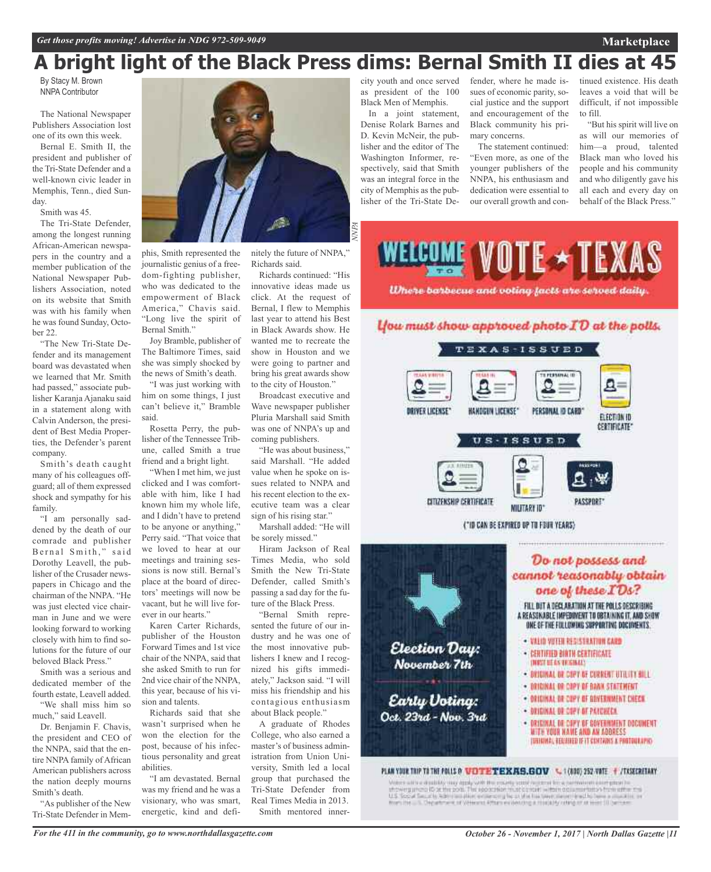# **A bright light of the Black Press dims: Bernal Smith II dies at 45**

By Stacy M. Brown NNPA Contributor

The National Newspaper Publishers Association lost one of its own this week.

Bernal E. Smith II, the president and publisher of the Tri-State Defender and a well-known civic leader in Memphis, Tenn., died Sunday.

Smith was 45.

The Tri-State Defender, among the longest running African-American newspapers in the country and a member publication of the National Newspaper Publishers Association, noted on its website that Smith was with his family when he was found Sunday, October 22.

"The New Tri-State Defender and its management board was devastated when we learned that Mr. Smith had passed," associate publisher Karanja Ajanaku said in a statement along with Calvin Anderson, the president of Best Media Properties, the Defender's parent company.

Smith's death caught many of his colleagues offguard; all of them expressed shock and sympathy for his family.

"I am personally saddened by the death of our comrade and publisher Bernal Smith," said Dorothy Leavell, the publisher of the Crusader newspapers in Chicago and the chairman of the NNPA. "He was just elected vice chairman in June and we were looking forward to working closely with him to find solutions for the future of our beloved Black Press."

Smith was a serious and dedicated member of the fourth estate, Leavell added.

"We shall miss him so much," said Leavell.

Dr. Benjamin F. Chavis, the president and CEO of the NNPA, said that the entire NNPA family of African American publishers across the nation deeply mourns Smith's death.

"As publisher of the New Tri-State Defender in Mem-



phis, Smith represented the journalistic genius of a freedom-fighting publisher, who was dedicated to the empowerment of Black America," Chavis said. "Long live the spirit of Bernal Smith."

Joy Bramble, publisher of The Baltimore Times, said she was simply shocked by the news of Smith's death.

"I was just working with him on some things, I just can't believe it," Bramble said.

Rosetta Perry, the publisher of the Tennessee Tribune, called Smith a true friend and a bright light.

"When I met him, we just clicked and I was comfortable with him, like I had known him my whole life, and I didn't have to pretend to be anyone or anything," Perry said. "That voice that we loved to hear at our meetings and training sessions is now still. Bernal's place at the board of directors' meetings will now be vacant, but he will live forever in our hearts."

Karen Carter Richards, publisher of the Houston Forward Times and 1st vice chair of the NNPA, said that she asked Smith to run for 2nd vice chair of the NNPA, this year, because of his vision and talents.

Richards said that she wasn't surprised when he won the election for the post, because of his infectious personality and great abilities.

"I am devastated. Bernal was my friend and he was a visionary, who was smart, energetic, kind and definitely the future of NNPA," Richards said.

Richards continued: "His innovative ideas made us click. At the request of Bernal, I flew to Memphis last year to attend his Best in Black Awards show. He wanted me to recreate the show in Houston and we were going to partner and bring his great awards show to the city of Houston."

Broadcast executive and Wave newspaper publisher Pluria Marshall said Smith was one of NNPA's up and coming publishers.

"He was about business," said Marshall. "He added value when he spoke on issues related to NNPA and his recent election to the executive team was a clear sign of his rising star."

Marshall added: "He will be sorely missed."

Hiram Jackson of Real Times Media, who sold Smith the New Tri-State Defender, called Smith's passing a sad day for the future of the Black Press.

"Bernal Smith represented the future of our industry and he was one of the most innovative publishers I knew and I recognized his gifts immediately," Jackson said. "I will miss his friendship and his contagious enthusiasm about Black people."

A graduate of Rhodes College, who also earned a master's of business administration from Union University, Smith led a local group that purchased the Tri-State Defender from Real Times Media in 2013. Smith mentored innercity youth and once served as president of the 100 Black Men of Memphis.

In a joint statement, Denise Rolark Barnes and D. Kevin McNeir, the publisher and the editor of The Washington Informer, respectively, said that Smith was an integral force in the city of Memphis as the publisher of the Tri-State Defender, where he made issues of economic parity, social justice and the support and encouragement of the Black community his primary concerns.

The statement continued: "Even more, as one of the younger publishers of the NNPA, his enthusiasm and dedication were essential to our overall growth and con-

tinued existence. His death leaves a void that will be difficult, if not impossible to fill.

"But his spirit will live on as will our memories of him—a proud, talented Black man who loved his people and his community and who diligently gave his all each and every day on behalf of the Black Press."



- BRIGINAL DE COPY DE CURRENT UTILITY BILL
- DRIGINAL OR COPY OF BANK STATEMENT.
- . ORIGINAL DE COPY OF GOVERNMENT CHECK
- DRIGINAL DR COPY OF PAYCHECK
- . DRIGINAL DE COPY DE GOVERNMENT OOCUMENT
- WITH YOUR NAME AND AN ADDRESS (USININA), REGINED IF IT CONTAINS A PHOTOGRAPH)

### PLAN YOUR TRIP TO THE POLLS OF WEITHE TEXAS.GOV & 1 (800) 252 VATE + /TXSECRETARY

Early Voting:

Oct. 23rd - Nov. 3rd

When a structure and the angle with the matrix and in the continuum complex in the structure of  $\Delta$  is the special for the special form of  $\Delta$  is the special form of the special form of the special form of the special f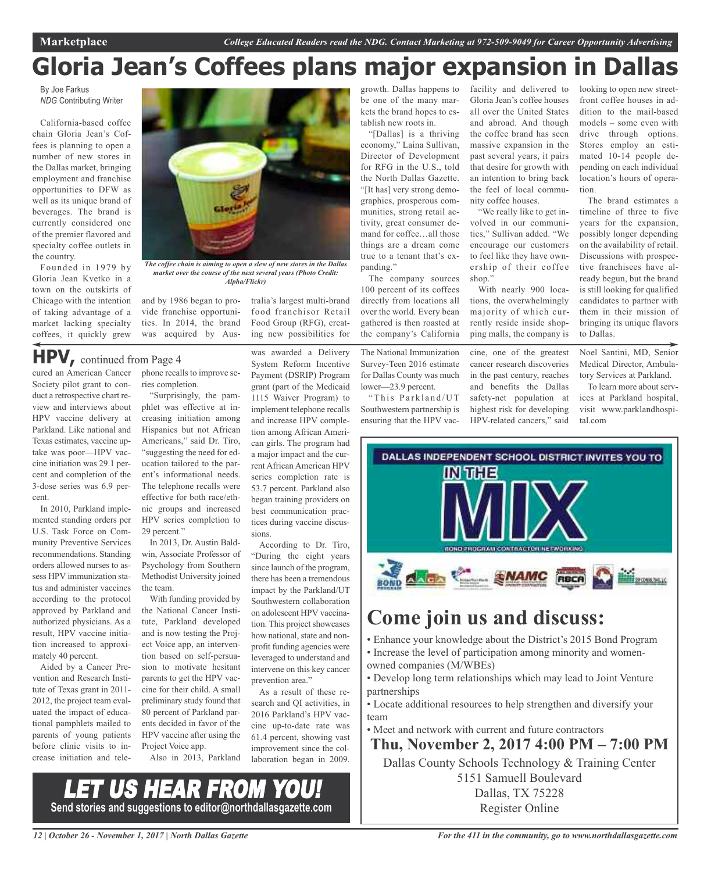# **Gloria Jean's Coffees plans major expansion in Dallas**

By Joe Farkus *NDG* Contributing Writer

California-based coffee chain Gloria Jean's Coffees is planning to open a number of new stores in the Dallas market, bringing employment and franchise opportunities to DFW as well as its unique brand of beverages. The brand is currently considered one of the premier flavored and specialty coffee outlets in the country.

Founded in 1979 by Gloria Jean Kvetko in a town on the outskirts of Chicago with the intention of taking advantage of a market lacking specialty coffees, it quickly grew



*The coffee chain is aiming to open a slew of new stores in the Dallas market over the course of the next several years (Photo Credit: Alpha/Flickr)*

and by 1986 began to provide franchise opportunities. In 2014, the brand was acquired by Australia's largest multi-brand food franchisor Retail Food Group (RFG), creating new possibilities for

was awarded a Delivery

cured an American Cancer Society pilot grant to conduct a retrospective chart review and interviews about HPV vaccine delivery at Parkland. Like national and Texas estimates, vaccine uptake was poor—HPV vaccine initiation was 29.1 percent and completion of the 3-dose series was 6.9 percent. **HPV,** continued from Page <sup>4</sup>

In 2010, Parkland implemented standing orders per U.S. Task Force on Community Preventive Services recommendations. Standing orders allowed nurses to assess HPV immunization status and administer vaccines according to the protocol approved by Parkland and authorized physicians. As a result, HPV vaccine initiation increased to approximately 40 percent.

Aided by a Cancer Prevention and Research Institute of Texas grant in 2011- 2012, the project team evaluated the impact of educational pamphlets mailed to parents of young patients before clinic visits to increase initiation and telephone recalls to improve series completion.

"Surprisingly, the pamphlet was effective at increasing initiation among Hispanics but not African Americans," said Dr. Tiro, "suggesting the need for education tailored to the parent's informational needs. The telephone recalls were effective for both race/ethnic groups and increased HPV series completion to 29 percent."

In 2013, Dr. Austin Baldwin, Associate Professor of Psychology from Southern Methodist University joined the team.

With funding provided by the National Cancer Institute, Parkland developed and is now testing the Project Voice app, an intervention based on self-persuasion to motivate hesitant parents to get the HPV vaccine for their child. A small preliminary study found that 80 percent of Parkland parents decided in favor of the HPV vaccine after using the Project Voice app.

Also in 2013, Parkland

System Reform Incentive Payment (DSRIP) Program grant (part of the Medicaid 1115 Waiver Program) to implement telephone recalls and increase HPV completion among African American girls. The program had a major impact and the current African American HPV series completion rate is 53.7 percent. Parkland also began training providers on best communication practices during vaccine discussions.

According to Dr. Tiro, "During the eight years since launch of the program, there has been a tremendous impact by the Parkland/UT Southwestern collaboration on adolescent HPV vaccination. This project showcases how national, state and nonprofit funding agencies were leveraged to understand and intervene on this key cancer prevention area."

As a result of these research and QI activities, in 2016 Parkland's HPV vaccine up-to-date rate was 61.4 percent, showing vast improvement since the collaboration began in 2009. growth. Dallas happens to be one of the many markets the brand hopes to establish new roots in.

"[Dallas] is a thriving economy," Laina Sullivan, Director of Development for RFG in the U.S., told the North Dallas Gazette. "[It has] very strong demographics, prosperous communities, strong retail activity, great consumer demand for coffee…all those things are a dream come true to a tenant that's expanding."

The company sources 100 percent of its coffees directly from locations all over the world. Every bean gathered is then roasted at the company's California

The National Immunization Survey-Teen 2016 estimate for Dallas County was much lower—23.9 percent.

"This Parkland/UT Southwestern partnership is ensuring that the HPV vacfacility and delivered to Gloria Jean's coffee houses all over the United States and abroad. And though the coffee brand has seen massive expansion in the past several years, it pairs that desire for growth with an intention to bring back the feel of local community coffee houses.

"We really like to get involved in our communities," Sullivan added. "We encourage our customers to feel like they have ownership of their coffee shop."

With nearly 900 locations, the overwhelmingly majority of which currently reside inside shopping malls, the company is

cine, one of the greatest cancer research discoveries in the past century, reaches and benefits the Dallas safety-net population at highest risk for developing HPV-related cancers," said looking to open new streetfront coffee houses in addition to the mail-based models – some even with drive through options. Stores employ an estimated 10-14 people depending on each individual location's hours of operation.

The brand estimates a timeline of three to five years for the expansion, possibly longer depending on the availability of retail. Discussions with prospective franchisees have already begun, but the brand is still looking for qualified candidates to partner with them in their mission of bringing its unique flavors to Dallas.

Noel Santini, MD, Senior Medical Director, Ambulatory Services at Parkland.

To learn more about services at Parkland hospital, visit www.parklandhospital.com



# **Come join us and discuss:**

- Enhance your knowledge about the District's 2015 Bond Program • Increase the level of participation among minority and womenowned companies (M/WBEs)
- Develop long term relationships which may lead to Joint Venture partnerships
- Locate additional resources to help strengthen and diversify your team
- Meet and network with current and future contractors

### **Thu, November 2, 2017 4:00 PM – 7:00 PM**

Dallas County Schools Technology & Training Center 5151 Samuell Boulevard Dallas, TX 75228

Register Online

LET US HEAR FROM YOU! **Send stories and suggestions to editor@northdallasgazette.com**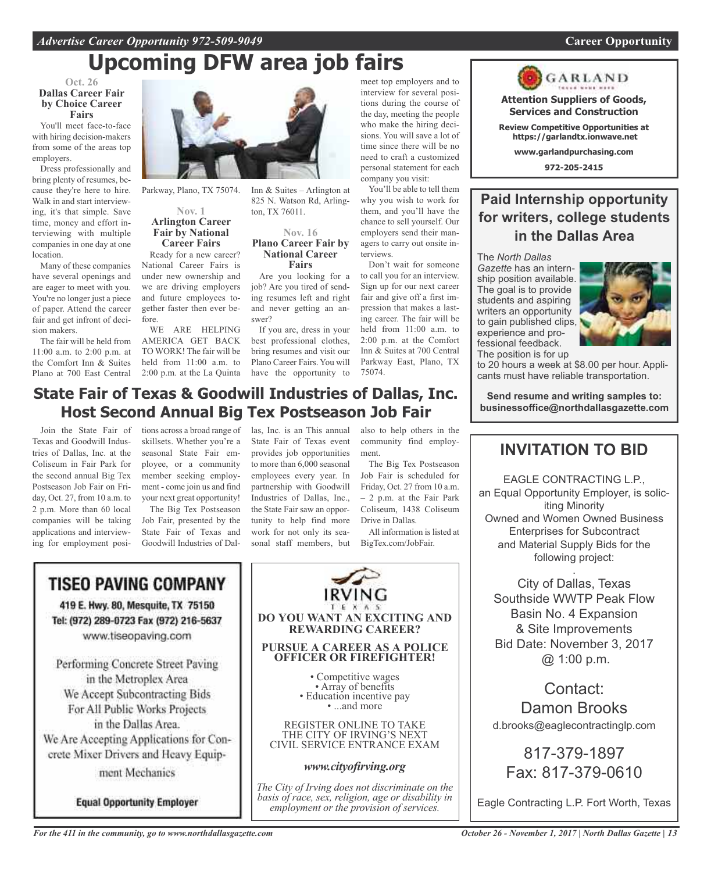# **Upcoming DFW area job fairs**

### **Oct. 26 Dallas Career Fair by Choice Career Fairs**

You'll meet face-to-face with hiring decision-makers from some of the areas top employers.

Dress professionally and bring plenty of resumes, because they're here to hire. Walk in and start interviewing, it's that simple. Save time, money and effort interviewing with multiple companies in one day at one location.

Many of these companies have several openings and are eager to meet with you. You're no longer just a piece of paper. Attend the career fair and get infront of decision makers.

The fair will be held from 11:00 a.m. to 2:00 p.m. at the Comfort Inn & Suites Plano at 700 East Central



Parkway, Plano, TX 75074.

### **Nov. 1 Arlington Career Fair by National Career Fairs**

Ready for a new career? National Career Fairs is under new ownership and we are driving employers and future employees together faster then ever before.

WE ARE HELPING AMERICA GET BACK TO WORK! The fair will be held from 11:00 a.m. to 2:00 p.m. at the La Quinta have the opportunity to

meet top employers and to interview for several positions during the course of the day, meeting the people who make the hiring decisions. You will save a lot of time since there will be no need to craft a customized personal statement for each company you visit:

> You'll be able to tell them why you wish to work for them, and you'll have the chance to sell yourself. Our employers send their managers to carry out onsite interviews.

Don't wait for someone to call you for an interview. Sign up for our next career fair and give off a first impression that makes a lasting career. The fair will be held from 11:00 a.m. to 2:00 p.m. at the Comfort Inn & Suites at 700 Central Parkway East, Plano, TX 75074.

# **State Fair of Texas & Goodwill Industries of Dallas, Inc. Host Second Annual Big Tex Postseason Job Fair**

swer?

Join the State Fair of Texas and Goodwill Industries of Dallas, Inc. at the Coliseum in Fair Park for the second annual Big Tex Postseason Job Fair on Friday, Oct. 27, from 10 a.m. to 2 p.m. More than 60 local companies will be taking applications and interviewing for employment posi-

tions across a broad range of skillsets. Whether you're a seasonal State Fair employee, or a community member seeking employment - come join us and find your next great opportunity!

The Big Tex Postseason Job Fair, presented by the State Fair of Texas and Goodwill Industries of Dal-

las, Inc. is an This annual State Fair of Texas event provides job opportunities to more than 6,000 seasonal employees every year. In partnership with Goodwill Industries of Dallas, Inc., the State Fair saw an opportunity to help find more work for not only its seasonal staff members, but

Inn & Suites – Arlington at 825 N. Watson Rd, Arling-

**Nov. 16 Plano Career Fair by National Career Fairs** Are you looking for a job? Are you tired of sending resumes left and right and never getting an an-

If you are, dress in your best professional clothes, bring resumes and visit our Plano Career Fairs. You will

ton, TX 76011.

also to help others in the community find employment.

The Big Tex Postseason Job Fair is scheduled for Friday, Oct. 27 from 10 a.m. – 2 p.m. at the Fair Park Coliseum, 1438 Coliseum Drive in Dallas.

All information is listed at BigTex.com/JobFair.



GARLAND **Attention Suppliers of Goods,**

**Services and Construction**

**Review Competitive Opportunities at https://garlandtx.ionwave.net**

**www.garlandpurchasing.com**

**972-205-2415**

# **Paid Internship opportunity for writers, college students in the Dallas Area**

The *North Dallas Gazette* has an internship position available. The goal is to provide students and aspiring writers an opportunity to gain published clips, experience and professional feedback. The position is for up



to 20 hours a week at \$8.00 per hour. Applicants must have reliable transportation.

**Send resume and writing samples to: businessoffice@northdallasgazette.com**

# **INVITATION TO BID**

EAGLE CONTRACTING L.P., an Equal Opportunity Employer, is soliciting Minority Owned and Women Owned Business Enterprises for Subcontract and Material Supply Bids for the following project:

. City of Dallas, Texas Southside WWTP Peak Flow Basin No. 4 Expansion & Site Improvements Bid Date: November 3, 2017 @ 1:00 p.m.

Contact: Damon Brooks d.brooks@eaglecontractinglp.com

817-379-1897 Fax: 817-379-0610

Eagle Contracting L.P. Fort Worth, Texas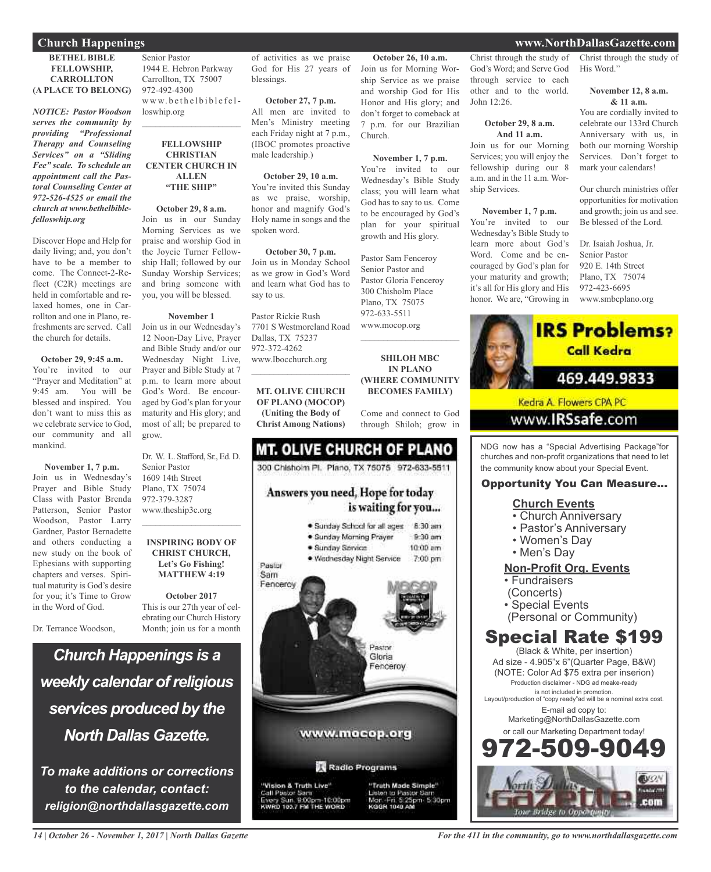### **BETHEL BIBLE FELLOWSHIP, CARROLLTON (A PLACE TO BELONG)**

*NOTICE: Pastor Woodson serves the community by providing "Professional Therapy and Counseling Services" on a "Sliding Fee" scale. To schedule an appointment call the Pastoral Counseling Center at 972-526-4525 or email the church at www.bethelbiblefelloswhip.org*

Discover Hope and Help for daily living; and, you don't have to be a member to come. The Connect-2-Reflect (C2R) meetings are held in comfortable and relaxed homes, one in Carrollton and one in Plano, refreshments are served. Call the church for details.

### **October 29, 9:45 a.m.**

You're invited to our "Prayer and Meditation" at 9:45 am. You will be blessed and inspired. You don't want to miss this as we celebrate service to God our community and all mankind.

### **November 1, 7 p.m.**

Join us in Wednesday's Prayer and Bible Study Class with Pastor Brenda Patterson, Senior Pastor Woodson, Pastor Larry Gardner, Pastor Bernadette and others conducting a new study on the book of Ephesians with supporting chapters and verses. Spiritual maturity is God's desire for you; it's Time to Grow in the Word of God.

Dr. Terrance Woodson,

Senior Pastor 1944 E. Hebron Parkway Carrollton, TX 75007 972-492-4300 www.bethelbiblefelloswhip.org

 $\mathcal{L}_\text{max}$  , which is a set of the set of the set of the set of the set of the set of the set of the set of the set of the set of the set of the set of the set of the set of the set of the set of the set of the set of

### **FELLOWSHIP CHRISTIAN CENTER CHURCH IN ALLEN "THE SHIP"**

**October 29, 8 a.m.** Join us in our Sunday Morning Services as we praise and worship God in the Joycie Turner Fellowship Hall; followed by our Sunday Worship Services; and bring someone with you, you will be blessed.

### **November 1**

Join us in our Wednesday's 12 Noon-Day Live, Prayer and Bible Study and/or our Wednesday Night Live, Prayer and Bible Study at 7 p.m. to learn more about God's Word. Be encouraged by God's plan for your maturity and His glory; and most of all; be prepared to grow.

Dr. W. L. Stafford, Sr., Ed. D. Senior Pastor 1609 14th Street Plano, TX 75074 972-379-3287 www.theship3c.org  $\mathcal{L}_\text{max}$  , which is a set of the set of the set of the set of the set of the set of the set of the set of the set of the set of the set of the set of the set of the set of the set of the set of the set of the set of

### **INSPIRING BODY OF CHRIST CHURCH, Let's Go Fishing! MATTHEW 4:19**

**October 2017** This is our 27th year of celebrating our Church History Month; join us for a month

*Church Happenings is a weekly calendar ofreligious services produced by the North Dallas Gazette.*

*To make additions or corrections to the calendar, contact: religion@northdallasgazette.com*

of activities as we praise God for His 27 years of blessings.

**October 26, 10 a.m.** Join us for Morning Worship Service as we praise and worship God for His Honor and His glory; and don't forget to comeback at 7 p.m. for our Brazilian

**November 1, 7 p.m.** You're invited to our Wednesday's Bible Study class; you will learn what God has to say to us. Come to be encouraged by God's plan for your spiritual growth and His glory.

Pastor Sam Fenceroy Senior Pastor and Pastor Gloria Fenceroy 300 Chisholm Place Plano, TX 75075 972-633-5511 www.mocop.org

 $\overline{\phantom{a}}$  , and the set of the set of the set of the set of the set of the set of the set of the set of the set of the set of the set of the set of the set of the set of the set of the set of the set of the set of the s

**SHILOH MBC IN PLANO (WHERE COMMUNITY BECOMES FAMILY)**

Come and connect to God through Shiloh; grow in

Church.

**October 27, 7 p.m.** All men are invited to Men's Ministry meeting each Friday night at 7 p.m., (IBOC promotes proactive male leadership.)

**October 29, 10 a.m.**

You're invited this Sunday as we praise, worship, honor and magnify God's Holy name in songs and the spoken word.

**October 30, 7 p.m.** Join us in Monday School as we grow in God's Word and learn what God has to say to us.

Pastor Rickie Rush 7701 S Westmoreland Road Dallas, TX 75237 972-372-4262 www.Ibocchurch.org

 $\overline{\phantom{a}}$  , which is a set of the set of the set of the set of the set of the set of the set of the set of the set of the set of the set of the set of the set of the set of the set of the set of the set of the set of th

**MT. OLIVE CHURCH OF PLANO (MOCOP) (Uniting the Body of Christ Among Nations)**

### **MT. OLIVE CHURCH OF PLANO** 300 Chishoim Pl. Plano, TX 75075 972-633-5511 Answers you need, Hope for today is waiting for you... · Sunday School for all ages 8:30 am · Sunday Morning Prayer  $9-30$  am · Sunday Service  $10:00$  am · Wednesday Night Service 7:00 pm Pastor Sam Fenceroy



Pastor Sam<br>y Sun, 9:00pm-10:00pm<br>to 1es.7 PM THE WORD

to Pastor S<br>in: 5:25pm 5:30pm KODNE 1040 AB

Christ through the study of God's Word; and Serve God through service to each other and to the world. John 12:26.

### **October 29, 8 a.m. And 11 a.m.**

Join us for our Morning Services; you will enjoy the fellowship during our 8 a.m. and in the 11 a.m. Worship Services.

### **November 1, 7 p.m.**

You're invited to our Wednesday's Bible Study to learn more about God's Word. Come and be encouraged by God's plan for your maturity and growth; it's all for His glory and His honor. We are, "Growing in Christ through the study of His Word."

### **November 12, 8 a.m. & 11 a.m.**

You are cordially invited to celebrate our 133rd Church Anniversary with us, in both our morning Worship Services. Don't forget to mark your calendars!

Our church ministries offer opportunities for motivation and growth; join us and see. Be blessed of the Lord.

Dr. Isaiah Joshua, Jr. Senior Pastor 920 E. 14th Street Plano, TX 75074 972-423-6695 www.smbcplano.org



NDG now has a "Special Advertising Package"for churches and non-profit organizations that need to let the community know about your Special Event.

### Opportunity You Can Measure...

### **Church Events**

- Church Anniversary
- Pastor's Anniversary
- Women's Day
- Men's Day

### **Non-Profit Org. Events**

- Fundraisers
- (Concerts)
- Special Events
- (Personal or Community)

# Special Rate \$199

(Black & White, per insertion) Ad size - 4.905"x 6"(Quarter Page, B&W) (NOTE: Color Ad \$75 extra per inserion) Production disclaimer - NDG ad meake-ready is not included in promotion. Layout/production of "copy ready"ad will be a nominal extra cost. E-mail ad copy to: Marketing@NorthDallasGazette.com or call our Marketing Department today! -509-9



### **Church Happenings www.NorthDallasGazette.com**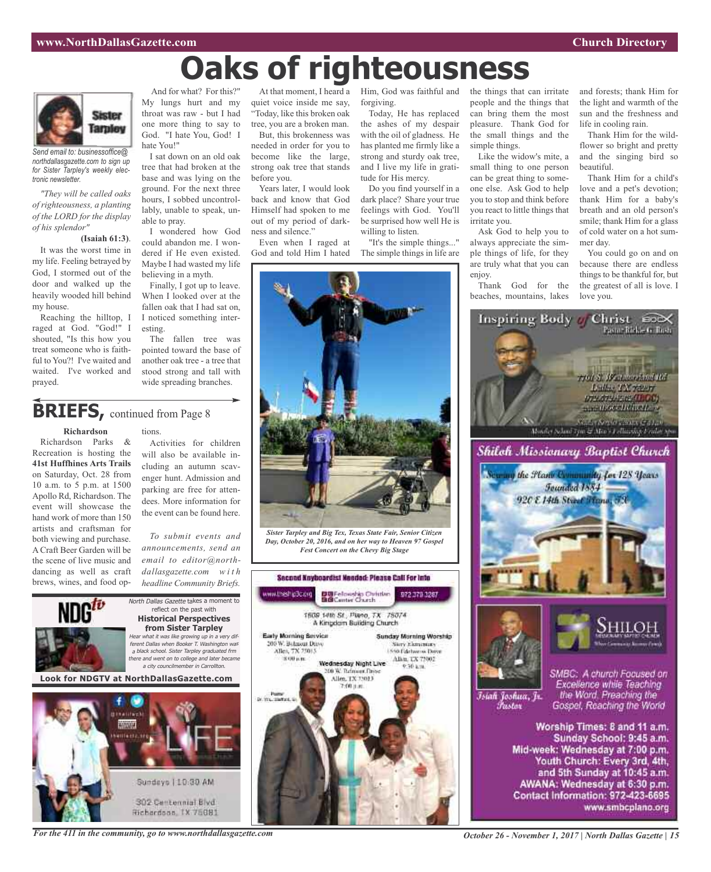# **Oaks of righteousness**



*Send email to: businessoffice@ northdallasgazette.com to sign up for Sister Tarpley's weekly electronic newsletter.*

*"They will be called oaks of righteousness, a planting of the LORD for the display of his splendor"*

### **(Isaiah 61:3)**.

It was the worst time in my life. Feeling betrayed by God, I stormed out of the door and walked up the heavily wooded hill behind my house.

Reaching the hilltop, I raged at God. "God!" I shouted, "Is this how you treat someone who is faithful to You?! I've waited and waited. I've worked and prayed.

And for what? For this?" My lungs hurt and my throat was raw - but I had one more thing to say to God. "I hate You, God! I hate You!"

I sat down on an old oak tree that had broken at the base and was lying on the ground. For the next three hours, I sobbed uncontrollably, unable to speak, unable to pray.

I wondered how God could abandon me. I wondered if He even existed. Maybe I had wasted my life believing in a myth.

Finally, I got up to leave. When I looked over at the fallen oak that I had sat on, I noticed something interesting.

The fallen tree was pointed toward the base of another oak tree - a tree that stood strong and tall with wide spreading branches.

# **BRIEFS**, continued from Page 8

### **Richardson**

Richardson Parks & Recreation is hosting the **41st Huffhines Arts Trails** on Saturday, Oct. 28 from 10 a.m. to 5 p.m. at 1500 Apollo Rd, Richardson. The event will showcase the hand work of more than 150 artists and craftsman for both viewing and purchase. A Craft Beer Garden will be the scene of live music and dancing as well as craft brews, wines, and food options. Activities for children will also be available including an autumn scavenger hunt. Admission and parking are free for attendees. More information for the event can be found here.

*To submit events and announcements, send an email to editor@northdallasgazette.com w i t h headline Community Briefs.*



Hichardson, IX 75081

At that moment, I heard a Him, God was faithful and quiet voice inside me say, "Today, like this broken oak tree, you are a broken man.

But, this brokenness was needed in order for you to become like the large, strong oak tree that stands before you.

Years later, I would look back and know that God Himself had spoken to me out of my period of darkness and silence."

Even when I raged at God and told Him I hated

forgiving.

Today, He has replaced the ashes of my despair with the oil of gladness. He has planted me firmly like a strong and sturdy oak tree, and I live my life in gratitude for His mercy.

Do you find yourself in a dark place? Share your true feelings with God. You'll be surprised how well He is willing to listen.

"It's the simple things..." The simple things in life are



*Fest Concert on the Chevy Big Stage*





Like the widow's mite, a small thing to one person can be great thing to someone else. Ask God to help you to stop and think before you react to little things that irritate you.

Ask God to help you to always appreciate the simple things of life, for they are truly what that you can enjoy.

Thank God for the beaches, mountains, lakes and forests; thank Him for the light and warmth of the sun and the freshness and life in cooling rain.

Thank Him for the wildflower so bright and pretty and the singing bird so beautiful.

Thank Him for a child's love and a pet's devotion; thank Him for a baby's breath and an old person's smile; thank Him for a glass of cold water on a hot summer day.

You could go on and on because there are endless things to be thankful for, but the greatest of all is love. I love you.



*October 26 - November 1, 2017 | North Dallas Gazette | 15*